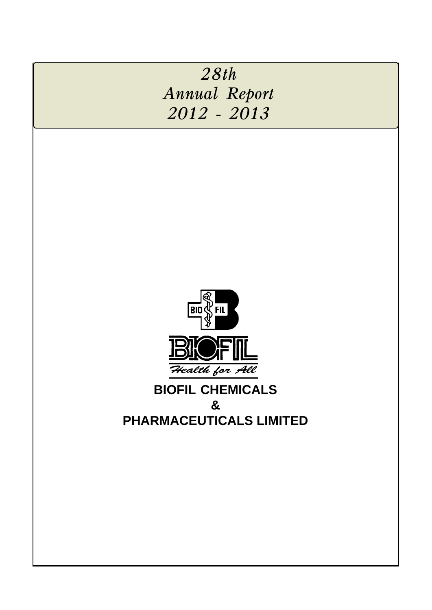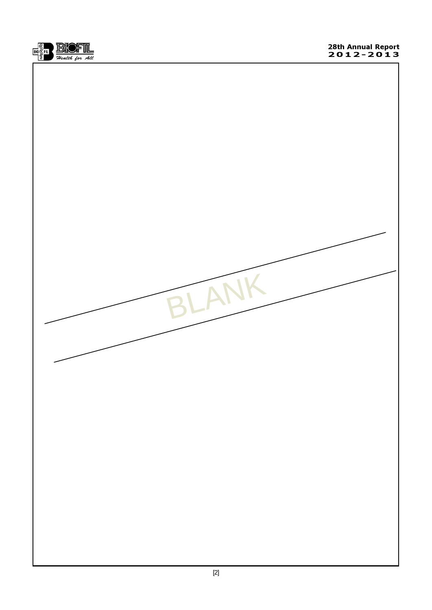

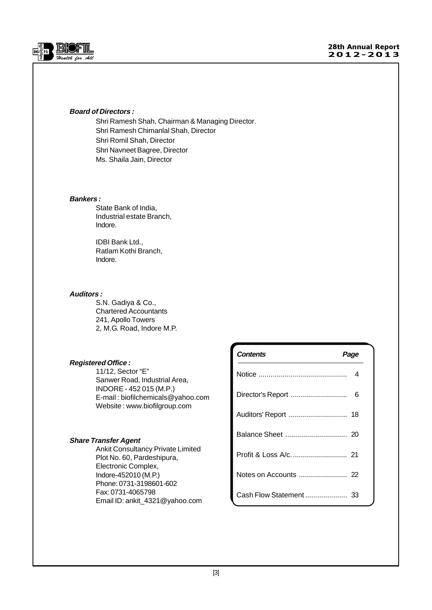



## **Board of Directors :**

Shri Ramesh Shah, Chairman & Managing Director. Shri Ramesh Chimanlal Shah, Director Shri Romil Shah, Director Shri Navneet Bagree, Director Ms. Shaila Jain, Director

#### **Bankers :**

State Bank of India, Industrial estate Branch, Indore.

IDBI Bank Ltd., Ratlam Kothi Branch, Indore.

## **Auditors :**

S.N. Gadiya & Co., Chartered Accountants 241, Apollo Towers 2, M.G. Road, Indore M.P.

#### **Registered Office :**

11/12, Sector "E" Sanwer Road, Industrial Area, INDORE - 452 015 (M.P.) E-mail : biofilchemicals@yahoo.com Website : www.biofilgroup.com

#### **Share Transfer Agent**

Ankit Consultancy Private Limited Plot No. 60, Pardeshipura, Electronic Complex, Indore-452010 (M.P.) Phone: 0731-3198601-602 Fax: 0731-4065798 Email ID: ankit\_4321@yahoo.com

| Contents                | Page |
|-------------------------|------|
| Notice ……………………………………   | 4    |
| Director's Report       | 6    |
|                         |      |
|                         |      |
|                         |      |
|                         |      |
| Cash Flow Statement  33 |      |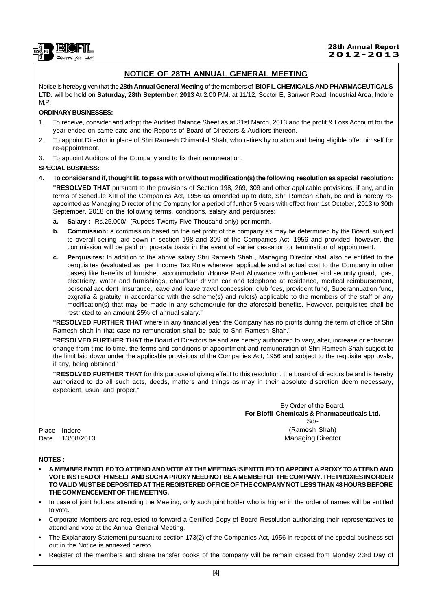

## **NOTICE OF 28TH ANNUAL GENERAL MEETING**

Notice is hereby given that the **28th Annual General Meeting** of the members of **BIOFIL CHEMICALS AND PHARMACEUTICALS LTD.** will be held on **Saturday, 28th September, 2013** At 2.00 P.M. at 11/12, Sector E, Sanwer Road, Industrial Area, Indore M.P.

#### **ORDINARY BUSINESSES:**

- 1. To receive, consider and adopt the Audited Balance Sheet as at 31st March, 2013 and the profit & Loss Account for the year ended on same date and the Reports of Board of Directors & Auditors thereon.
- 2. To appoint Director in place of Shri Ramesh Chimanlal Shah, who retires by rotation and being eligible offer himself for re-appointment.
- 3. To appoint Auditors of the Company and to fix their remuneration.

#### **SPECIAL BUSINESS:**

- **4. To consider and if, thought fit, to pass with or without modification(s) the following resolution as special resolution: "RESOLVED THAT** pursuant to the provisions of Section 198, 269, 309 and other applicable provisions, if any, and in terms of Schedule XIII of the Companies Act, 1956 as amended up to date, Shri Ramesh Shah, be and is hereby reappointed as Managing Director of the Company for a period of further 5 years with effect from 1st October, 2013 to 30th September, 2018 on the following terms, conditions, salary and perquisites:
	- **a. Salary :** Rs.25,000/- (Rupees Twenty Five Thousand only) per month.
	- **b.** Commission: a commission based on the net profit of the company as may be determined by the Board, subject to overall ceiling laid down in section 198 and 309 of the Companies Act, 1956 and provided, however, the commission will be paid on pro-rata basis in the event of earlier cessation or termination of appointment.
	- **c. Perquisites:** In addition to the above salary Shri Ramesh Shah , Managing Director shall also be entitled to the perquisites (evaluated as per Income Tax Rule wherever applicable and at actual cost to the Company in other cases) like benefits of furnished accommodation/House Rent Allowance with gardener and security guard, gas, electricity, water and furnishings, chauffeur driven car and telephone at residence, medical reimbursement, personal accident insurance, leave and leave travel concession, club fees, provident fund, Superannuation fund, exgratia & gratuity in accordance with the scheme(s) and rule(s) applicable to the members of the staff or any modification(s) that may be made in any scheme/rule for the aforesaid benefits. However, perquisites shall be restricted to an amount 25% of annual salary."

**"RESOLVED FURTHER THAT** where in any financial year the Company has no profits during the term of office of Shri Ramesh shah in that case no remuneration shall be paid to Shri Ramesh Shah."

**"RESOLVED FURTHER THAT** the Board of Directors be and are hereby authorized to vary, alter, increase or enhance/ change from time to time, the terms and conditions of appointment and remuneration of Shri Ramesh Shah subject to the limit laid down under the applicable provisions of the Companies Act, 1956 and subject to the requisite approvals, if any, being obtained"

**"RESOLVED FURTHER THAT** for this purpose of giving effect to this resolution, the board of directors be and is hereby authorized to do all such acts, deeds, matters and things as may in their absolute discretion deem necessary, expedient, usual and proper."

> By Order of the Board. **For Biofil Chemicals & Pharmaceuticals Ltd.** Sd/- (Ramesh Shah) Managing Director

Place : Indore Date : 13/08/2013

**NOTES :**

- **A MEMBER ENTITLED TO ATTEND AND VOTE AT THE MEETING IS ENTITLED TO APPOINT A PROXY TO ATTEND AND VOTE INSTEAD OF HIMSELF AND SUCH A PROXY NEED NOT BE A MEMBER OF THE COMPANY. THE PROXIES IN ORDER TO VALID MUST BE DEPOSITED AT THE REGISTERED OFFICE OF THE COMPANY NOT LESS THAN 48 HOURS BEFORE THE COMMENCEMENT OF THE MEETING.**
- **•** In case of joint holders attending the Meeting, only such joint holder who is higher in the order of names will be entitled to vote.
- **•** Corporate Members are requested to forward a Certified Copy of Board Resolution authorizing their representatives to attend and vote at the Annual General Meeting.
- **•** The Explanatory Statement pursuant to section 173(2) of the Companies Act, 1956 in respect of the special business set out in the Notice is annexed hereto.
- **•** Register of the members and share transfer books of the company will be remain closed from Monday 23rd Day of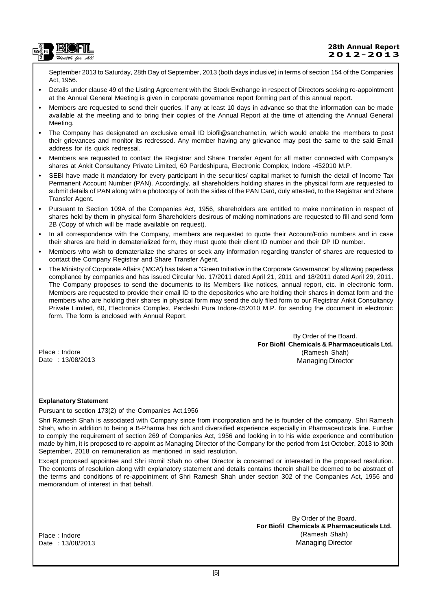

September 2013 to Saturday, 28th Day of September, 2013 (both days inclusive) in terms of section 154 of the Companies Act, 1956.

- **•** Details under clause 49 of the Listing Agreement with the Stock Exchange in respect of Directors seeking re-appointment at the Annual General Meeting is given in corporate governance report forming part of this annual report.
- **•** Members are requested to send their queries, if any at least 10 days in advance so that the information can be made available at the meeting and to bring their copies of the Annual Report at the time of attending the Annual General Meeting.
- **•** The Company has designated an exclusive email ID biofil@sancharnet.in, which would enable the members to post their grievances and monitor its redressed. Any member having any grievance may post the same to the said Email address for its quick redressal.
- **•** Members are requested to contact the Registrar and Share Transfer Agent for all matter connected with Company's shares at Ankit Consultancy Private Limited, 60 Pardeshipura, Electronic Complex, Indore -452010 M.P.
- **•** SEBI have made it mandatory for every participant in the securities/ capital market to furnish the detail of Income Tax Permanent Account Number (PAN). Accordingly, all shareholders holding shares in the physical form are requested to submit details of PAN along with a photocopy of both the sides of the PAN Card, duly attested, to the Registrar and Share Transfer Agent.
- **•** Pursuant to Section 109A of the Companies Act, 1956, shareholders are entitled to make nomination in respect of shares held by them in physical form Shareholders desirous of making nominations are requested to fill and send form 2B (Copy of which will be made available on request).
- **•** In all correspondence with the Company, members are requested to quote their Account/Folio numbers and in case their shares are held in dematerialized form, they must quote their client ID number and their DP ID number.
- **•** Members who wish to dematerialize the shares or seek any information regarding transfer of shares are requested to contact the Company Registrar and Share Transfer Agent.
- **•** The Ministry of Corporate Affairs ('MCA') has taken a "Green Initiative in the Corporate Governance" by allowing paperless compliance by companies and has issued Circular No. 17/2011 dated April 21, 2011 and 18/2011 dated April 29, 2011. The Company proposes to send the documents to its Members like notices, annual report, etc. in electronic form. Members are requested to provide their email ID to the depositories who are holding their shares in demat form and the members who are holding their shares in physical form may send the duly filed form to our Registrar Ankit Consultancy Private Limited, 60, Electronics Complex, Pardeshi Pura Indore-452010 M.P. for sending the document in electronic form. The form is enclosed with Annual Report.

Place : Indore Date : 13/08/2013

By Order of the Board. **For Biofil Chemicals & Pharmaceuticals Ltd.** (Ramesh Shah) Managing Director

#### **Explanatory Statement**

Pursuant to section 173(2) of the Companies Act,1956

Shri Ramesh Shah is associated with Company since from incorporation and he is founder of the company. Shri Ramesh Shah, who in addition to being a B-Pharma has rich and diversified experience especially in Pharmaceuticals line. Further to comply the requirement of section 269 of Companies Act, 1956 and looking in to his wide experience and contribution made by him, it is proposed to re-appoint as Managing Director of the Company for the period from 1st October, 2013 to 30th September, 2018 on remuneration as mentioned in said resolution.

Except proposed appointee and Shri Romil Shah no other Director is concerned or interested in the proposed resolution. The contents of resolution along with explanatory statement and details contains therein shall be deemed to be abstract of the terms and conditions of re-appointment of Shri Ramesh Shah under section 302 of the Companies Act, 1956 and memorandum of interest in that behalf.

Place : Indore Date : 13/08/2013

By Order of the Board. **For Biofil Chemicals & Pharmaceuticals Ltd.** (Ramesh Shah) Managing Director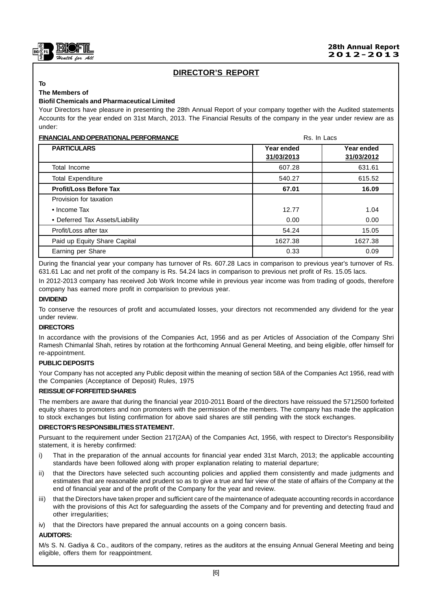

## **DIRECTOR'S REPORT**

#### **To**

## **The Members of**

#### **Biofil Chemicals and Pharmaceutical Limited**

Your Directors have pleasure in presenting the 28th Annual Report of your company together with the Audited statements Accounts for the year ended on 31st March, 2013. The Financial Results of the company in the year under review are as under:

#### **FINANCIAL AND OPERATIONAL PERFORMANCE RS. In Lacs**

| <b>PARTICULARS</b>              | Year ended | Year ended |
|---------------------------------|------------|------------|
|                                 | 31/03/2013 | 31/03/2012 |
| Total Income                    | 607.28     | 631.61     |
| <b>Total Expenditure</b>        | 540.27     | 615.52     |
| <b>Profit/Loss Before Tax</b>   | 67.01      | 16.09      |
| Provision for taxation          |            |            |
| $\bullet$ Income Tax            | 12.77      | 1.04       |
| • Deferred Tax Assets/Liability | 0.00       | 0.00       |
| Profit/Loss after tax           | 54.24      | 15.05      |
| Paid up Equity Share Capital    | 1627.38    | 1627.38    |
| Earning per Share               | 0.33       | 0.09       |

During the financial year your company has turnover of Rs. 607.28 Lacs in comparison to previous year's turnover of Rs. 631.61 Lac and net profit of the company is Rs. 54.24 lacs in comparison to previous net profit of Rs. 15.05 lacs.

In 2012-2013 company has received Job Work Income while in previous year income was from trading of goods, therefore company has earned more profit in comparision to previous year.

#### **DIVIDEND**

To conserve the resources of profit and accumulated losses, your directors not recommended any dividend for the year under review.

#### **DIRECTORS**

In accordance with the provisions of the Companies Act, 1956 and as per Articles of Association of the Company Shri Ramesh Chimanlal Shah, retires by rotation at the forthcoming Annual General Meeting, and being eligible, offer himself for re-appointment.

## **PUBLIC DEPOSITS**

Your Company has not accepted any Public deposit within the meaning of section 58A of the Companies Act 1956, read with the Companies (Acceptance of Deposit) Rules, 1975

#### **REISSUE OF FORFEITED SHARES**

The members are aware that during the financial year 2010-2011 Board of the directors have reissued the 5712500 forfeited equity shares to promoters and non promoters with the permission of the members. The company has made the application to stock exchanges but listing confirmation for above said shares are still pending with the stock exchanges.

#### **DIRECTOR'S RESPONSIBILITIES STATEMENT.**

Pursuant to the requirement under Section 217(2AA) of the Companies Act, 1956, with respect to Director's Responsibility statement, it is hereby confirmed:

- i) That in the preparation of the annual accounts for financial year ended 31st March, 2013; the applicable accounting standards have been followed along with proper explanation relating to material departure;
- ii) that the Directors have selected such accounting policies and applied them consistently and made judgments and estimates that are reasonable and prudent so as to give a true and fair view of the state of affairs of the Company at the end of financial year and of the profit of the Company for the year and review.
- iii) that the Directors have taken proper and sufficient care of the maintenance of adequate accounting records in accordance with the provisions of this Act for safeguarding the assets of the Company and for preventing and detecting fraud and other irregularities;

iv) that the Directors have prepared the annual accounts on a going concern basis.

#### **AUDITORS:**

M/s S. N. Gadiya & Co., auditors of the company, retires as the auditors at the ensuing Annual General Meeting and being eligible, offers them for reappointment.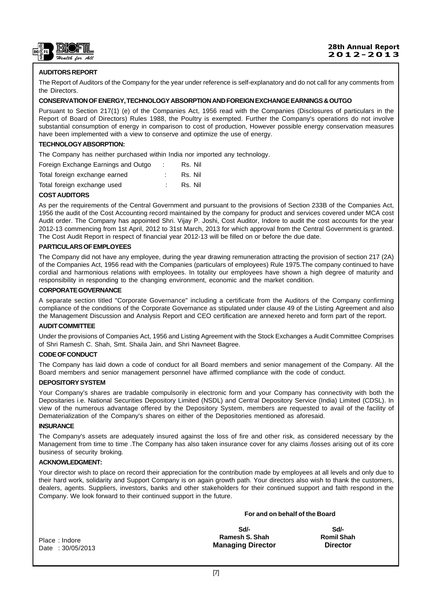

## **AUDITORS REPORT**

The Report of Auditors of the Company for the year under reference is self-explanatory and do not call for any comments from the Directors.

#### **CONSERVATION OF ENERGY, TECHNOLOGY ABSORPTION AND FOREIGN EXCHANGE EARNINGS & OUTGO**

Pursuant to Section 217(1) (e) of the Companies Act, 1956 read with the Companies (Disclosures of particulars in the Report of Board of Directors) Rules 1988, the Poultry is exempted. Further the Company's operations do not involve substantial consumption of energy in comparison to cost of production, However possible energy conservation measures have been implemented with a view to conserve and optimize the use of energy.

#### **TECHNOLOGY ABSORPTION:**

The Company has neither purchased within India nor imported any technology.

| Foreign Exchange Earnings and Outgo | Rs. Nil |
|-------------------------------------|---------|
| Total foreign exchange earned       | Rs. Nil |
| Total foreign exchange used         | Rs. Nil |

#### **COST AUDITORS**

As per the requirements of the Central Government and pursuant to the provisions of Section 233B of the Companies Act, 1956 the audit of the Cost Accounting record maintained by the company for product and services covered under MCA cost Audit order. The Company has appointed Shri. Vijay P. Joshi, Cost Auditor, Indore to audit the cost accounts for the year 2012-13 commencing from 1st April, 2012 to 31st March, 2013 for which approval from the Central Government is granted. The Cost Audit Report in respect of financial year 2012-13 will be filled on or before the due date.

#### **PARTICULARS OF EMPLOYEES**

The Company did not have any employee, during the year drawing remuneration attracting the provision of section 217 (2A) of the Companies Act, 1956 read with the Companies (particulars of employees) Rule 1975.The company continued to have cordial and harmonious relations with employees. In totality our employees have shown a high degree of maturity and responsibility in responding to the changing environment, economic and the market condition.

#### **CORPORATE GOVERNANCE**

A separate section titled "Corporate Governance" including a certificate from the Auditors of the Company confirming compliance of the conditions of the Corporate Governance as stipulated under clause 49 of the Listing Agreement and also the Management Discussion and Analysis Report and CEO certification are annexed hereto and form part of the report.

#### **AUDIT COMMITTEE**

Under the provisions of Companies Act, 1956 and Listing Agreement with the Stock Exchanges a Audit Committee Comprises of Shri Ramesh C. Shah, Smt. Shaila Jain, and Shri Navneet Bagree.

#### **CODE OF CONDUCT**

The Company has laid down a code of conduct for all Board members and senior management of the Company. All the Board members and senior management personnel have affirmed compliance with the code of conduct.

#### **DEPOSITORY SYSTEM**

Your Company's shares are tradable compulsorily in electronic form and your Company has connectivity with both the Depositaries i.e. National Securities Depository Limited (NSDL) and Central Depository Service (India) Limited (CDSL). In view of the numerous advantage offered by the Depository System, members are requested to avail of the facility of Dematerialization of the Company's shares on either of the Depositories mentioned as aforesaid.

## **INSURANCE**

The Company's assets are adequately insured against the loss of fire and other risk, as considered necessary by the Management from time to time .The Company has also taken insurance cover for any claims /losses arising out of its core business of security broking.

#### **ACKNOWLEDGMENT:**

Your director wish to place on record their appreciation for the contribution made by employees at all levels and only due to their hard work, solidarity and Support Company is on again growth path. Your directors also wish to thank the customers, dealers, agents. Suppliers, investors, banks and other stakeholders for their continued support and faith respond in the Company. We look forward to their continued support in the future.

#### **For and on behalf of the Board**

Date : 30/05/2013

**Sd/- Sd/- Ramesh S. Shah Romil Shah** Place : Indore<br> **Managing Director Director Director Director**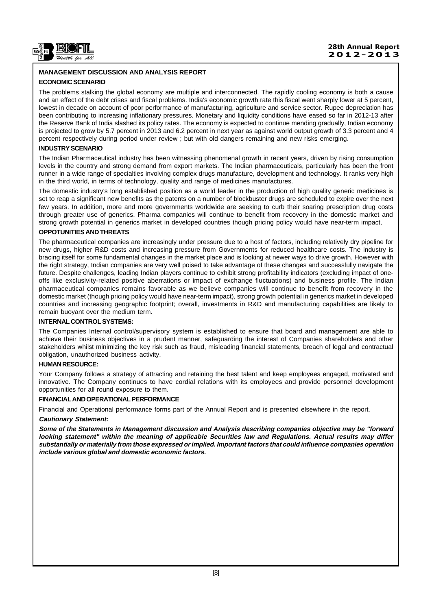

#### **MANAGEMENT DISCUSSION AND ANALYSIS REPORT**

#### **ECONOMIC SCENARIO**

The problems stalking the global economy are multiple and interconnected. The rapidly cooling economy is both a cause and an effect of the debt crises and fiscal problems. India's economic growth rate this fiscal went sharply lower at 5 percent, lowest in decade on account of poor performance of manufacturing, agriculture and service sector. Rupee depreciation has been contributing to increasing inflationary pressures. Monetary and liquidity conditions have eased so far in 2012-13 after the Reserve Bank of India slashed its policy rates. The economy is expected to continue mending gradually, Indian economy is projected to grow by 5.7 percent in 2013 and 6.2 percent in next year as against world output growth of 3.3 percent and 4 percent respectively during period under review ; but with old dangers remaining and new risks emerging.

#### **INDUSTRY SCENARIO**

The Indian Pharmaceutical industry has been witnessing phenomenal growth in recent years, driven by rising consumption levels in the country and strong demand from export markets. The Indian pharmaceuticals, particularly has been the front runner in a wide range of specialties involving complex drugs manufacture, development and technology. It ranks very high in the third world, in terms of technology, quality and range of medicines manufactures.

The domestic industry's long established position as a world leader in the production of high quality generic medicines is set to reap a significant new benefits as the patents on a number of blockbuster drugs are scheduled to expire over the next few years. In addition, more and more governments worldwide are seeking to curb their soaring prescription drug costs through greater use of generics. Pharma companies will continue to benefit from recovery in the domestic market and strong growth potential in generics market in developed countries though pricing policy would have near-term impact,

## **OPPOTUNITIES AND THREATS**

The pharmaceutical companies are increasingly under pressure due to a host of factors, including relatively dry pipeline for new drugs, higher R&D costs and increasing pressure from Governments for reduced healthcare costs. The industry is bracing itself for some fundamental changes in the market place and is looking at newer ways to drive growth. However with the right strategy, Indian companies are very well poised to take advantage of these changes and successfully navigate the future. Despite challenges, leading Indian players continue to exhibit strong profitability indicators (excluding impact of oneoffs like exclusivity-related positive aberrations or impact of exchange fluctuations) and business profile. The Indian pharmaceutical companies remains favorable as we believe companies will continue to benefit from recovery in the domestic market (though pricing policy would have near-term impact), strong growth potential in generics market in developed countries and increasing geographic footprint; overall, investments in R&D and manufacturing capabilities are likely to remain buoyant over the medium term.

#### **INTERNAL CONTROL SYSTEMS:**

The Companies Internal control/supervisory system is established to ensure that board and management are able to achieve their business objectives in a prudent manner, safeguarding the interest of Companies shareholders and other stakeholders whilst minimizing the key risk such as fraud, misleading financial statements, breach of legal and contractual obligation, unauthorized business activity.

#### **HUMAN RESOURCE:**

Your Company follows a strategy of attracting and retaining the best talent and keep employees engaged, motivated and innovative. The Company continues to have cordial relations with its employees and provide personnel development opportunities for all round exposure to them.

#### **FINANCIAL AND OPERATIONAL PERFORMANCE**

Financial and Operational performance forms part of the Annual Report and is presented elsewhere in the report.

#### **Cautionary Statement:**

**Some of the Statements in Management discussion and Analysis describing companies objective may be "forward looking statement" within the meaning of applicable Securities law and Regulations. Actual results may differ substantially or materially from those expressed or implied. Important factors that could influence companies operation include various global and domestic economic factors.**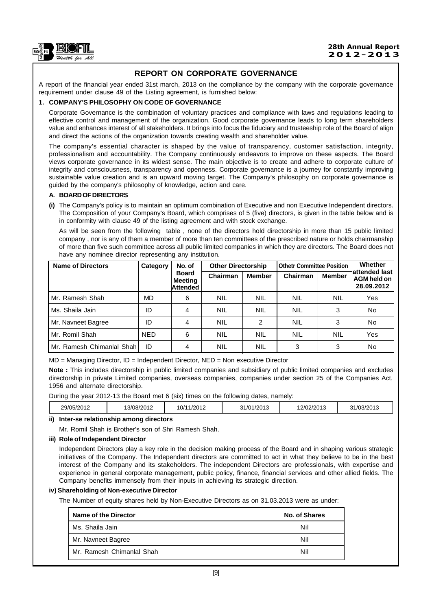

## **REPORT ON CORPORATE GOVERNANCE**

A report of the financial year ended 31st march, 2013 on the compliance by the company with the corporate governance requirement under clause 49 of the Listing agreement, is furnished below:

#### **1. COMPANY'S PHILOSOPHY ON CODE OF GOVERNANCE**

Corporate Governance is the combination of voluntary practices and compliance with laws and regulations leading to effective control and management of the organization. Good corporate governance leads to long term shareholders value and enhances interest of all stakeholders. It brings into focus the fiduciary and trusteeship role of the Board of align and direct the actions of the organization towards creating wealth and shareholder value.

The company's essential character is shaped by the value of transparency, customer satisfaction, integrity, professionalism and accountability. The Company continuously endeavors to improve on these aspects. The Board views corporate governance in its widest sense. The main objective is to create and adhere to corporate culture of integrity and consciousness, transparency and openness. Corporate governance is a journey for constantly improving sustainable value creation and is an upward moving target. The Company's philosophy on corporate governance is guided by the company's philosophy of knowledge, action and care.

#### **A. BOARD OF DIRECTORS**

**(i)** The Company's policy is to maintain an optimum combination of Executive and non Executive Independent directors. The Composition of your Company's Board, which comprises of 5 (five) directors, is given in the table below and is in conformity with clause 49 of the listing agreement and with stock exchange.

As will be seen from the following table , none of the directors hold directorship in more than 15 public limited company , nor is any of them a member of more than ten committees of the prescribed nature or holds chairmanship of more than five such committee across all public limited companies in which they are directors. The Board does not have any nominee director representing any institution.

| <b>Name of Directors</b>  | Category   | No. of                                     |            | <b>Other Directorship</b> | <b>Othetr Committee Position</b> |               | <b>Whether</b>                              |
|---------------------------|------------|--------------------------------------------|------------|---------------------------|----------------------------------|---------------|---------------------------------------------|
|                           |            | <b>Board</b><br><b>Meeting</b><br>Attended | Chairman   | <b>Member</b>             | Chairman                         | <b>Member</b> | lattended last<br>AGM held on<br>28.09.2012 |
| Mr. Ramesh Shah           | MD.        | 6                                          | <b>NIL</b> | <b>NIL</b>                | <b>NIL</b>                       | <b>NIL</b>    | Yes                                         |
| Ms. Shaila Jain           | ID         | 4                                          | <b>NIL</b> | <b>NIL</b>                | <b>NIL</b>                       | 3             | No.                                         |
| Mr. Navneet Bagree        | ID         | 4                                          | <b>NIL</b> | 2                         | <b>NIL</b>                       | 3             | No.                                         |
| Mr. Romil Shah            | <b>NED</b> | 6                                          | <b>NIL</b> | <b>NIL</b>                | <b>NIL</b>                       | <b>NIL</b>    | Yes                                         |
| Mr. Ramesh Chimanlal Shah | ID         | 4                                          | <b>NIL</b> | <b>NIL</b>                | 3                                | 3             | No.                                         |

MD = Managing Director, ID = Independent Director, NED = Non executive Director

**Note :** This includes directorship in public limited companies and subsidiary of public limited companies and excludes directorship in private Limited companies, overseas companies, companies under section 25 of the Companies Act, 1956 and alternate directorship.

During the year 2012-13 the Board met 6 (six) times on the following dates, namely:

| 29/05/2012 | 3/08/2012 | /2012<br>10/1 | 1/2013<br>31/01 | 2/02/2013<br>__ | 1004c<br>$31/0^{\circ}$<br>73/2015 |
|------------|-----------|---------------|-----------------|-----------------|------------------------------------|
|            |           |               |                 |                 |                                    |

#### **ii) Inter-se relationship among directors**

Mr. Romil Shah is Brother's son of Shri Ramesh Shah.

#### **iii) Role of Independent Director**

Independent Directors play a key role in the decision making process of the Board and in shaping various strategic initiatives of the Company. The Independent directors are committed to act in what they believe to be in the best interest of the Company and its stakeholders. The independent Directors are professionals, with expertise and experience in general corporate management, public policy, finance, financial services and other allied fields. The Company benefits immensely from their inputs in achieving its strategic direction.

#### **iv) Shareholding of Non-executive Director**

The Number of equity shares held by Non-Executive Directors as on 31.03.2013 were as under:

| Name of the Director      | No. of Shares |
|---------------------------|---------------|
| Ms. Shaila Jain           | Nil           |
| Mr. Navneet Bagree        | Nil           |
| Mr. Ramesh Chimanlal Shah | Nil           |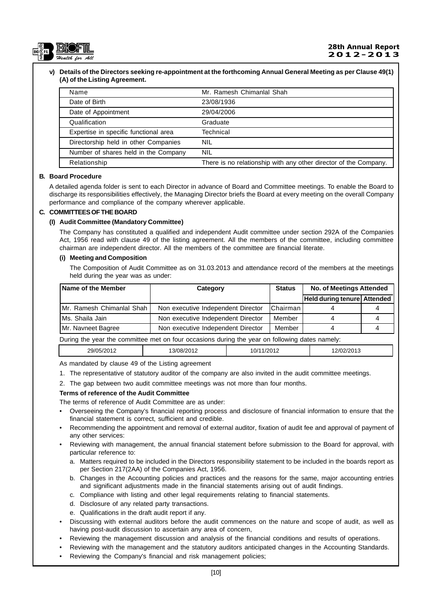

## **v) Details of the Directors seeking re-appointment at the forthcoming Annual General Meeting as per Clause 49(1) (A) of the Listing Agreement.**

| Name                                  | Mr. Ramesh Chimanlal Shah                                        |
|---------------------------------------|------------------------------------------------------------------|
| Date of Birth                         | 23/08/1936                                                       |
| Date of Appointment                   | 29/04/2006                                                       |
| Qualification                         | Graduate                                                         |
| Expertise in specific functional area | Technical                                                        |
| Directorship held in other Companies  | NIL                                                              |
| Number of shares held in the Company  | NIL                                                              |
| Relationship                          | There is no relationship with any other director of the Company. |
|                                       |                                                                  |

#### **B. Board Procedure**

A detailed agenda folder is sent to each Director in advance of Board and Committee meetings. To enable the Board to discharge its responsibilities effectively, the Managing Director briefs the Board at every meeting on the overall Company performance and compliance of the company wherever applicable.

#### **C. COMMITTEES OF THE BOARD**

#### **(I) Audit Committee (Mandatory Committee)**

The Company has constituted a qualified and independent Audit committee under section 292A of the Companies Act, 1956 read with clause 49 of the listing agreement. All the members of the committee, including committee chairman are independent director. All the members of the committee are financial literate.

#### **(i) Meeting and Composition**

The Composition of Audit Committee as on 31.03.2013 and attendance record of the members at the meetings held during the year was as under:

| Name of the Member                                                                             | Category                                     | <b>Status</b>    | <b>No. of Meetings Attended</b> |  |
|------------------------------------------------------------------------------------------------|----------------------------------------------|------------------|---------------------------------|--|
|                                                                                                |                                              |                  | Held during tenure Attended     |  |
| IMr. Ramesh Chimanlal Shah                                                                     | Non executive Independent Director           | <b>IChairman</b> |                                 |  |
| IMs. Shaila Jain                                                                               | Non executive Independent Director           | Member           |                                 |  |
| Mr. Navneet Bagree                                                                             | Member<br>Non executive Independent Director |                  |                                 |  |
| During the year the committee met on four occasions during the year on following dates namely: |                                              |                  |                                 |  |

29/05/2012 13/08/2012 10/11/2012 12/02/2013

As mandated by clause 49 of the Listing agreement

- 1. The representative of statutory auditor of the company are also invited in the audit committee meetings.
- 2. The gap between two audit committee meetings was not more than four months.

#### **Terms of reference of the Audit Committee**

The terms of reference of Audit Committee are as under:

- Overseeing the Company's financial reporting process and disclosure of financial information to ensure that the financial statement is correct, sufficient and credible.
- Recommending the appointment and removal of external auditor, fixation of audit fee and approval of payment of any other services:
- Reviewing with management, the annual financial statement before submission to the Board for approval, with particular reference to:
	- a. Matters required to be included in the Directors responsibility statement to be included in the boards report as per Section 217(2AA) of the Companies Act, 1956.
	- b. Changes in the Accounting policies and practices and the reasons for the same, major accounting entries and significant adjustments made in the financial statements arising out of audit findings.
	- c. Compliance with listing and other legal requirements relating to financial statements.
	- d. Disclosure of any related party transactions.
	- e. Qualifications in the draft audit report if any.
- Discussing with external auditors before the audit commences on the nature and scope of audit, as well as having post-audit discussion to ascertain any area of concern,
- Reviewing the management discussion and analysis of the financial conditions and results of operations.
- Reviewing with the management and the statutory auditors anticipated changes in the Accounting Standards.
- Reviewing the Company's financial and risk management policies;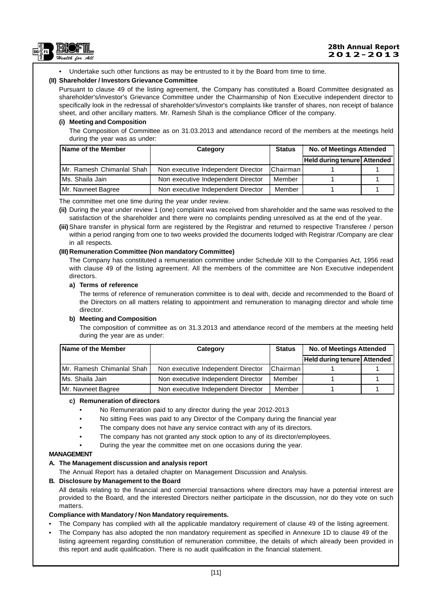

• Undertake such other functions as may be entrusted to it by the Board from time to time.

#### **(II) Shareholder / Investors Grievance Committee**

Pursuant to clause 49 of the listing agreement, the Company has constituted a Board Committee designated as shareholder's/investor's Grievance Committee under the Chairmanship of Non Executive independent director to specifically look in the redressal of shareholder's/investor's complaints like transfer of shares, non receipt of balance sheet, and other ancillary matters. Mr. Ramesh Shah is the compliance Officer of the company.

#### **(i) Meeting and Composition**

The Composition of Committee as on 31.03.2013 and attendance record of the members at the meetings held during the year was as under:

| <b>Name of the Member</b> | Category                           | <b>Status</b>    | <b>No. of Meetings Attended</b> |  |
|---------------------------|------------------------------------|------------------|---------------------------------|--|
|                           |                                    |                  | Held during tenure Attended     |  |
| Mr. Ramesh Chimanlal Shah | Non executive Independent Director | <b>IChairman</b> |                                 |  |
| IMs. Shaila Jain          | Non executive Independent Director | Member           |                                 |  |
| Mr. Navneet Bagree        | Non executive Independent Director | Member           |                                 |  |

The committee met one time during the year under review.

- **(ii)** During the year under review 1 (one) complaint was received from shareholder and the same was resolved to the satisfaction of the shareholder and there were no complaints pending unresolved as at the end of the year.
- **(iii)**Share transfer in physical form are registered by the Registrar and returned to respective Transferee / person within a period ranging from one to two weeks provided the documents lodged with Registrar /Company are clear in all respects.

#### **(III) Remuneration Committee (Non mandatory Committee)**

The Company has constituted a remuneration committee under Schedule XIII to the Companies Act, 1956 read with clause 49 of the listing agreement. All the members of the committee are Non Executive independent directors.

#### **a) Terms of reference**

The terms of reference of remuneration committee is to deal with, decide and recommended to the Board of the Directors on all matters relating to appointment and remuneration to managing director and whole time director.

#### **b) Meeting and Composition**

The composition of committee as on 31.3.2013 and attendance record of the members at the meeting held during the year are as under:

| <b>Name of the Member</b> | Category                           | <b>Status</b>    | <b>No. of Meetings Attended</b> |  |
|---------------------------|------------------------------------|------------------|---------------------------------|--|
|                           |                                    |                  | Held during tenure Attended     |  |
| Mr. Ramesh Chimanlal Shah | Non executive Independent Director | <b>IChairman</b> |                                 |  |
| l Ms. Shaila Jain.        | Non executive Independent Director | Member           |                                 |  |
| Mr. Navneet Bagree        | Non executive Independent Director | Member           |                                 |  |

#### **c) Remuneration of directors**

- No Remuneration paid to any director during the year 2012-2013
- No sitting Fees was paid to any Director of the Company during the financial year
- The company does not have any service contract with any of its directors.
- The company has not granted any stock option to any of its director/employees.
- During the year the committee met on one occasions during the year.

#### **MANAGEMENT**

#### **A. The Management discussion and analysis report**

The Annual Report has a detailed chapter on Management Discussion and Analysis.

#### **B. Disclosure by Management to the Board**

All details relating to the financial and commercial transactions where directors may have a potential interest are provided to the Board, and the interested Directors neither participate in the discussion, nor do they vote on such matters.

#### **Compliance with Mandatory / Non Mandatory requirements.**

• The Company has complied with all the applicable mandatory requirement of clause 49 of the listing agreement.

• The Company has also adopted the non mandatory requirement as specified in Annexure 1D to clause 49 of the listing agreement regarding constitution of remuneration committee, the details of which already been provided in this report and audit qualification. There is no audit qualification in the financial statement.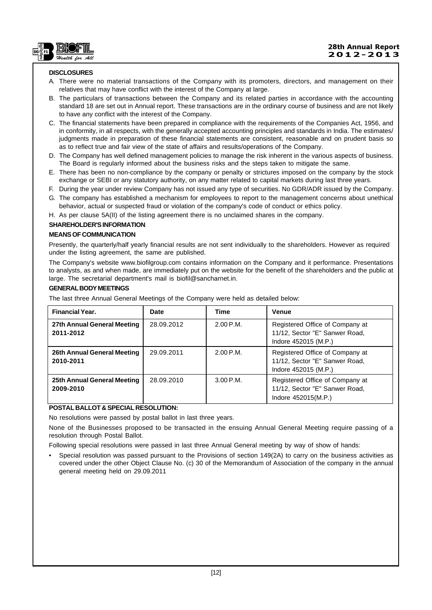

#### **DISCLOSURES**

- A. There were no material transactions of the Company with its promoters, directors, and management on their relatives that may have conflict with the interest of the Company at large.
- B. The particulars of transactions between the Company and its related parties in accordance with the accounting standard 18 are set out in Annual report. These transactions are in the ordinary course of business and are not likely to have any conflict with the interest of the Company.
- C. The financial statements have been prepared in compliance with the requirements of the Companies Act, 1956, and in conformity, in all respects, with the generally accepted accounting principles and standards in India. The estimates/ judgments made in preparation of these financial statements are consistent, reasonable and on prudent basis so as to reflect true and fair view of the state of affairs and results/operations of the Company.
- D. The Company has well defined management policies to manage the risk inherent in the various aspects of business. The Board is regularly informed about the business risks and the steps taken to mitigate the same.
- E. There has been no non-compliance by the company or penalty or strictures imposed on the company by the stock exchange or SEBI or any statutory authority, on any matter related to capital markets during last three years.
- F. During the year under review Company has not issued any type of securities. No GDR/ADR issued by the Company.
- G. The company has established a mechanism for employees to report to the management concerns about unethical behavior, actual or suspected fraud or violation of the company's code of conduct or ethics policy.

H. As per clause 5A(II) of the listing agreement there is no unclaimed shares in the company.

#### **SHAREHOLDER'S INFORMATION**

#### **MEANS OF COMMUNICATION**

Presently, the quarterly/half yearly financial results are not sent individually to the shareholders. However as required under the listing agreement, the same are published.

The Company's website www.biofilgroup.com contains information on the Company and it performance. Presentations to analysts, as and when made, are immediately put on the website for the benefit of the shareholders and the public at large. The secretarial department's mail is biofil@sancharnet.in.

#### **GENERAL BODY MEETINGS**

The last three Annual General Meetings of the Company were held as detailed below:

| <b>Financial Year.</b>                   | <b>Date</b> | Time      | <b>Venue</b>                                                                              |
|------------------------------------------|-------------|-----------|-------------------------------------------------------------------------------------------|
| 27th Annual General Meeting<br>2011-2012 | 28.09.2012  | 2.00 P.M. | Registered Office of Company at<br>11/12, Sector "E" Sanwer Road,<br>Indore 452015 (M.P.) |
| 26th Annual General Meeting<br>2010-2011 | 29.09.2011  | 2.00 P.M. | Registered Office of Company at<br>11/12, Sector "E" Sanwer Road,<br>Indore 452015 (M.P.) |
| 25th Annual General Meeting<br>2009-2010 | 28.09.2010  | 3.00 P.M. | Registered Office of Company at<br>11/12, Sector "E" Sanwer Road,<br>Indore 452015(M.P.)  |

## **POSTAL BALLOT & SPECIAL RESOLUTION:**

No resolutions were passed by postal ballot in last three years.

None of the Businesses proposed to be transacted in the ensuing Annual General Meeting require passing of a resolution through Postal Ballot.

Following special resolutions were passed in last three Annual General meeting by way of show of hands:

• Special resolution was passed pursuant to the Provisions of section 149(2A) to carry on the business activities as covered under the other Object Clause No. (c) 30 of the Memorandum of Association of the company in the annual general meeting held on 29.09.2011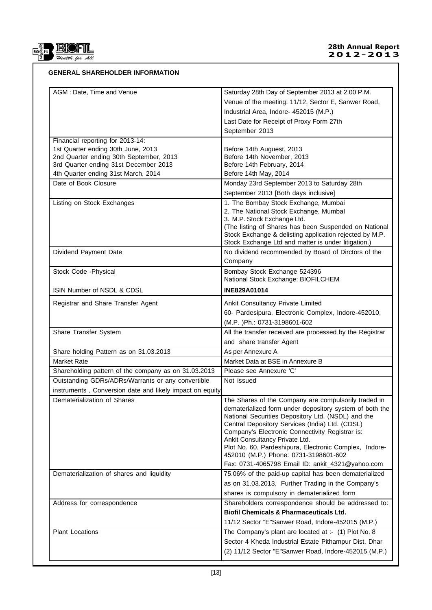

## **GENERAL SHAREHOLDER INFORMATION**

| AGM: Date, Time and Venue                                                     | Saturday 28th Day of September 2013 at 2.00 P.M.                                                               |
|-------------------------------------------------------------------------------|----------------------------------------------------------------------------------------------------------------|
|                                                                               | Venue of the meeting: 11/12, Sector E, Sanwer Road,                                                            |
|                                                                               | Industrial Area, Indore- 452015 (M.P.)                                                                         |
|                                                                               |                                                                                                                |
|                                                                               | Last Date for Receipt of Proxy Form 27th                                                                       |
|                                                                               | September 2013                                                                                                 |
| Financial reporting for 2013-14:                                              |                                                                                                                |
| 1st Quarter ending 30th June, 2013<br>2nd Quarter ending 30th September, 2013 | Before 14th Auguest, 2013<br>Before 14th November, 2013                                                        |
| 3rd Quarter ending 31st December 2013                                         | Before 14th February, 2014                                                                                     |
| 4th Quarter ending 31st March, 2014                                           | Before 14th May, 2014                                                                                          |
| Date of Book Closure                                                          | Monday 23rd September 2013 to Saturday 28th                                                                    |
|                                                                               | September 2013 [Both days inclusive]                                                                           |
| Listing on Stock Exchanges                                                    | 1. The Bombay Stock Exchange, Mumbai                                                                           |
|                                                                               | 2. The National Stock Exchange, Mumbal                                                                         |
|                                                                               | 3. M.P. Stock Exchange Ltd.                                                                                    |
|                                                                               | (The listing of Shares has been Suspended on National                                                          |
|                                                                               | Stock Exchange & delisting application rejected by M.P.<br>Stock Exchange Ltd and matter is under litigation.) |
| Dividend Payment Date                                                         | No dividend recommended by Board of Dirctors of the                                                            |
|                                                                               | Company                                                                                                        |
| Stock Code - Physical                                                         | Bombay Stock Exchange 524396                                                                                   |
|                                                                               | National Stock Exchange: BIOFILCHEM                                                                            |
| ISIN Number of NSDL & CDSL                                                    | INE829A01014                                                                                                   |
| Registrar and Share Transfer Agent                                            | Ankit Consultancy Private Limited                                                                              |
|                                                                               | 60- Pardesipura, Electronic Complex, Indore-452010,                                                            |
|                                                                               | (M.P. )Ph.: 0731-3198601-602                                                                                   |
| Share Transfer System                                                         | All the transfer received are processed by the Registrar                                                       |
|                                                                               | and share transfer Agent                                                                                       |
| Share holding Pattern as on 31.03.2013                                        | As per Annexure A                                                                                              |
| <b>Market Rate</b>                                                            | Market Data at BSE in Annexure B                                                                               |
| Shareholding pattern of the company as on 31.03.2013                          | Please see Annexure 'C'                                                                                        |
| Outstanding GDRs/ADRs/Warrants or any convertible                             | Not issued                                                                                                     |
| instruments, Conversion date and likely impact on equity                      |                                                                                                                |
| Dematerialization of Shares                                                   | The Shares of the Company are compulsorily traded in                                                           |
|                                                                               | dematerialized form under depository system of both the                                                        |
|                                                                               | National Securities Depository Ltd. (NSDL) and the                                                             |
|                                                                               |                                                                                                                |
|                                                                               | Central Depository Services (India) Ltd. (CDSL)                                                                |
|                                                                               | Company's Electronic Connectivity Registrar is:                                                                |
|                                                                               | Ankit Consultancy Private Ltd.                                                                                 |
|                                                                               | Plot No. 60, Pardeshipura, Electronic Complex, Indore-<br>452010 (M.P.) Phone: 0731-3198601-602                |
|                                                                               | Fax: 0731-4065798 Email ID: ankit_4321@yahoo.com                                                               |
| Dematerialization of shares and liquidity                                     | 75.06% of the paid-up capital has been dematerialized                                                          |
|                                                                               | as on 31.03.2013. Further Trading in the Company's                                                             |
|                                                                               |                                                                                                                |
|                                                                               | shares is compulsory in dematerialized form                                                                    |
| Address for correspondence                                                    | Shareholders correspondence should be addressed to:                                                            |
|                                                                               | <b>Biofil Chemicals &amp; Pharmaceuticals Ltd.</b>                                                             |
|                                                                               | 11/12 Sector "E"Sanwer Road, Indore-452015 (M.P.)                                                              |
| Plant Locations                                                               | The Company's plant are located at :- (1) Plot No. 8                                                           |
|                                                                               | Sector 4 Kheda Industrial Estate Pithampur Dist. Dhar<br>(2) 11/12 Sector "E"Sanwer Road, Indore-452015 (M.P.) |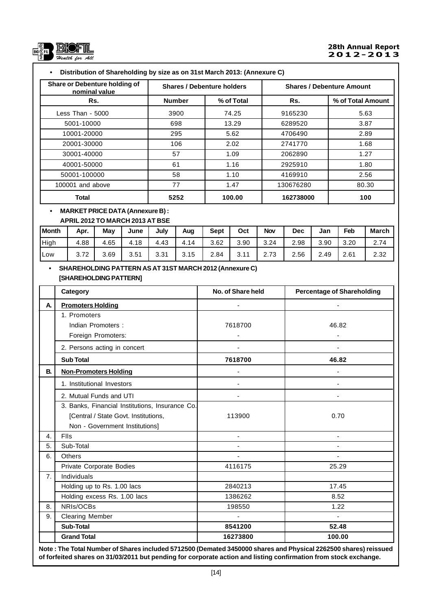**BIOFIL** Health for All

|                   | Share or Debenture holding of<br>nominal value                            |                                      |      |      |                          | <b>Shares / Debenture holders</b> |                              |            | <b>Shares / Debenture Amount</b> |                          |                                   |              |
|-------------------|---------------------------------------------------------------------------|--------------------------------------|------|------|--------------------------|-----------------------------------|------------------------------|------------|----------------------------------|--------------------------|-----------------------------------|--------------|
|                   | Rs.                                                                       |                                      |      |      | <b>Number</b>            |                                   | % of Total                   |            | Rs.                              |                          | % of Total Amount                 |              |
|                   | Less Than - 5000                                                          |                                      |      | 3900 |                          | 74.25                             |                              |            | 9165230                          |                          |                                   | 5.63         |
|                   | 5001-10000                                                                |                                      |      |      | 698                      |                                   | 13.29                        |            | 6289520                          |                          |                                   | 3.87         |
|                   | 10001-20000                                                               |                                      |      |      | 295                      |                                   | 5.62                         |            | 4706490                          |                          |                                   | 2.89         |
|                   | 20001-30000                                                               |                                      |      |      | 106                      |                                   | 2.02                         |            | 2741770                          |                          |                                   | 1.68         |
| 57<br>30001-40000 |                                                                           |                                      |      |      | 1.09                     |                                   | 2062890                      |            |                                  | 1.27                     |                                   |              |
|                   | 40001-50000                                                               |                                      |      |      | 61                       |                                   | 1.16                         |            | 2925910                          |                          |                                   | 1.80         |
|                   | 50001-100000                                                              |                                      |      |      | 58                       |                                   | 1.10                         |            | 4169910                          |                          |                                   | 2.56         |
|                   | 100001 and above                                                          |                                      |      |      | 77                       |                                   | 1.47                         |            | 130676280                        |                          |                                   | 80.30        |
|                   | Total                                                                     |                                      |      |      | 5252                     |                                   | 100.00                       |            | 162738000                        |                          |                                   | 100          |
| $\bullet$         | <b>MARKET PRICE DATA (Annexure B):</b><br>APRIL 2012 TO MARCH 2013 AT BSE |                                      |      |      |                          |                                   |                              |            |                                  |                          |                                   |              |
| <b>Month</b>      | Apr.                                                                      | May                                  | June | July | Aug                      | <b>Sept</b>                       | Oct                          | <b>Nov</b> | <b>Dec</b>                       | Jan                      | Feb                               | <b>March</b> |
| High              | 4.88                                                                      | 4.65                                 | 4.18 | 4.43 | 4.14                     | 3.62                              | 3.90                         | 3.24       | 2.98                             | 3.90                     | 3.20                              | 2.74         |
| Low               | 3.72                                                                      | 3.69                                 | 3.51 | 3.31 | 3.15                     | 2.84                              | 3.11                         | 2.73       | 2.56                             | 2.49                     | 2.61                              | 2.32         |
| $\bullet$         | SHAREHOLDING PATTERN AS AT 31ST MARCH 2012 (Annexure C)                   |                                      |      |      |                          |                                   |                              |            |                                  |                          |                                   |              |
|                   | [SHAREHOLDING PATTERN]                                                    |                                      |      |      |                          |                                   |                              |            |                                  |                          |                                   |              |
|                   | Category                                                                  |                                      |      |      |                          | No. of Share held                 |                              |            |                                  |                          | <b>Percentage of Shareholding</b> |              |
| А.                | <b>Promoters Holding</b>                                                  |                                      |      |      |                          |                                   |                              |            |                                  |                          | $\blacksquare$                    |              |
|                   | 1. Promoters                                                              |                                      |      |      |                          |                                   |                              |            |                                  |                          |                                   |              |
|                   |                                                                           | Indian Promoters :                   |      |      |                          | 7618700                           |                              |            |                                  |                          | 46.82                             |              |
|                   |                                                                           | Foreign Promoters:                   |      |      |                          |                                   |                              |            |                                  |                          |                                   |              |
|                   | 2. Persons acting in concert                                              |                                      |      |      |                          |                                   |                              |            |                                  |                          |                                   |              |
|                   | <b>Sub Total</b>                                                          |                                      |      |      |                          | 7618700                           |                              |            | 46.82                            |                          |                                   |              |
| В.                | <b>Non-Promoters Holding</b>                                              |                                      |      |      |                          | $\overline{\phantom{m}}$          |                              |            |                                  | $\overline{\phantom{a}}$ |                                   |              |
|                   | 1. Institutional Investors                                                |                                      |      |      |                          |                                   |                              |            |                                  | $\overline{\phantom{a}}$ |                                   |              |
|                   | 2. Mutual Funds and UTI                                                   |                                      |      |      |                          |                                   |                              |            |                                  |                          |                                   |              |
|                   | 3. Banks, Financial Institutions, Insurance Co.                           |                                      |      |      |                          |                                   |                              |            |                                  |                          |                                   |              |
|                   |                                                                           | [Central / State Govt. Institutions, |      |      |                          | 113900                            |                              | 0.70       |                                  |                          |                                   |              |
|                   |                                                                           | Non - Government Institutions]       |      |      |                          |                                   |                              |            |                                  |                          |                                   |              |
| Flls<br>4.        |                                                                           |                                      |      |      | $\overline{\phantom{a}}$ |                                   | $\qquad \qquad \blacksquare$ |            |                                  |                          |                                   |              |
| 5.                | Sub-Total                                                                 |                                      |      |      |                          |                                   |                              |            |                                  |                          |                                   |              |
| 6.                | Others                                                                    |                                      |      |      |                          |                                   |                              |            |                                  |                          |                                   |              |
|                   | Private Corporate Bodies                                                  |                                      |      |      |                          |                                   | 4116175                      |            |                                  |                          | 25.29                             |              |
| 7.                | Individuals                                                               |                                      |      |      |                          |                                   |                              |            |                                  |                          |                                   |              |
|                   | Holding up to Rs. 1.00 lacs                                               |                                      |      |      |                          | 2840213                           |                              |            | 17.45                            |                          |                                   |              |
|                   | Holding excess Rs. 1.00 lacs                                              |                                      |      |      |                          |                                   | 1386262                      |            |                                  |                          | 8.52                              |              |
| 8.                | NRIs/OCBs                                                                 |                                      |      |      |                          |                                   | 198550                       |            |                                  |                          | 1.22                              |              |
| 9.                | <b>Clearing Member</b>                                                    |                                      |      |      |                          |                                   |                              |            |                                  |                          |                                   |              |

**Note : The Total Number of Shares included 5712500 (Demated 3450000 shares and Physical 2262500 shares) reissued of forfeited shares on 31/03/2011 but pending for corporate action and listing confirmation from stock exchange.**

**Sub-Total 8541200 52.48 Grand Total 16273800** 100.00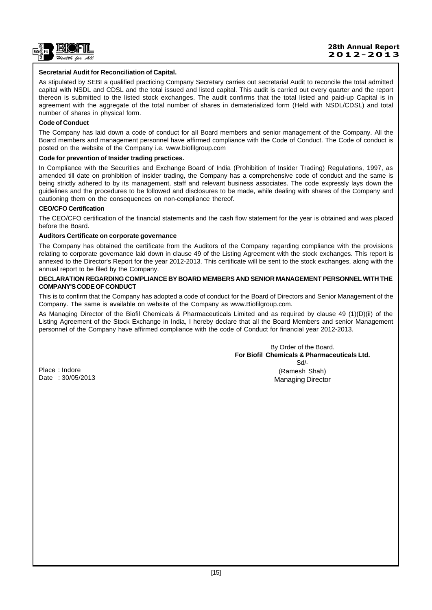

#### **Secretarial Audit for Reconciliation of Capital.**

As stipulated by SEBI a qualified practicing Company Secretary carries out secretarial Audit to reconcile the total admitted capital with NSDL and CDSL and the total issued and listed capital. This audit is carried out every quarter and the report thereon is submitted to the listed stock exchanges. The audit confirms that the total listed and paid-up Capital is in agreement with the aggregate of the total number of shares in dematerialized form (Held with NSDL/CDSL) and total number of shares in physical form.

#### **Code of Conduct**

The Company has laid down a code of conduct for all Board members and senior management of the Company. All the Board members and management personnel have affirmed compliance with the Code of Conduct. The Code of conduct is posted on the website of the Company i.e. www.biofilgroup.com

#### **Code for prevention of Insider trading practices.**

In Compliance with the Securities and Exchange Board of India (Prohibition of Insider Trading) Regulations, 1997, as amended till date on prohibition of insider trading, the Company has a comprehensive code of conduct and the same is being strictly adhered to by its management, staff and relevant business associates. The code expressly lays down the guidelines and the procedures to be followed and disclosures to be made, while dealing with shares of the Company and cautioning them on the consequences on non-compliance thereof.

#### **CEO/CFO Certification**

The CEO/CFO certification of the financial statements and the cash flow statement for the year is obtained and was placed before the Board.

#### **Auditors Certificate on corporate governance**

The Company has obtained the certificate from the Auditors of the Company regarding compliance with the provisions relating to corporate governance laid down in clause 49 of the Listing Agreement with the stock exchanges. This report is annexed to the Director's Report for the year 2012-2013. This certificate will be sent to the stock exchanges, along with the annual report to be filed by the Company.

#### **DECLARATION REGARDING COMPLIANCE BY BOARD MEMBERS AND SENIOR MANAGEMENT PERSONNEL WITH THE COMPANY'S CODE OF CONDUCT**

This is to confirm that the Company has adopted a code of conduct for the Board of Directors and Senior Management of the Company. The same is available on website of the Company as www.Biofilgroup.com.

As Managing Director of the Biofil Chemicals & Pharmaceuticals Limited and as required by clause 49 (1)(D)(ii) of the Listing Agreement of the Stock Exchange in India, I hereby declare that all the Board Members and senior Management personnel of the Company have affirmed compliance with the code of Conduct for financial year 2012-2013.

> By Order of the Board. **For Biofil Chemicals & Pharmaceuticals Ltd.** Sd/- (Ramesh Shah) Managing Director

Place : Indore Date : 30/05/2013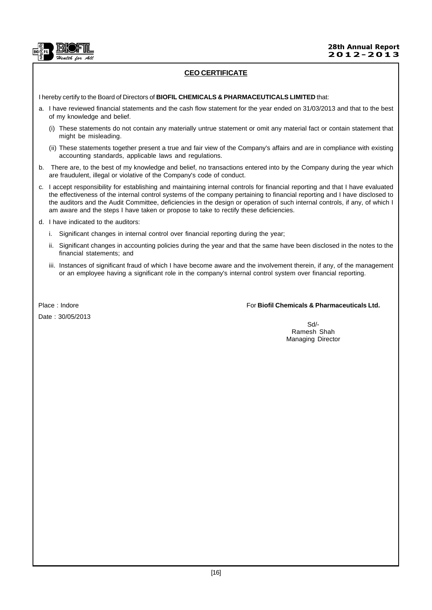

## **CEO CERTIFICATE**

I hereby certify to the Board of Directors of **BIOFIL CHEMICALS & PHARMACEUTICALS LIMITED** that:

- a. I have reviewed financial statements and the cash flow statement for the year ended on 31/03/2013 and that to the best of my knowledge and belief.
	- (i) These statements do not contain any materially untrue statement or omit any material fact or contain statement that might be misleading.
	- (ii) These statements together present a true and fair view of the Company's affairs and are in compliance with existing accounting standards, applicable laws and regulations.
- b. There are, to the best of my knowledge and belief, no transactions entered into by the Company during the year which are fraudulent, illegal or violative of the Company's code of conduct.
- c. I accept responsibility for establishing and maintaining internal controls for financial reporting and that I have evaluated the effectiveness of the internal control systems of the company pertaining to financial reporting and I have disclosed to the auditors and the Audit Committee, deficiencies in the design or operation of such internal controls, if any, of which I am aware and the steps I have taken or propose to take to rectify these deficiencies.
- d. I have indicated to the auditors:
	- i. Significant changes in internal control over financial reporting during the year;
	- ii. Significant changes in accounting policies during the year and that the same have been disclosed in the notes to the financial statements; and
	- iii. Instances of significant fraud of which I have become aware and the involvement therein, if any, of the management or an employee having a significant role in the company's internal control system over financial reporting.

Date : 30/05/2013

#### Place : Indore For **Biofil Chemicals & Pharmaceuticals Ltd.**

Sd/- Ramesh Shah Managing Director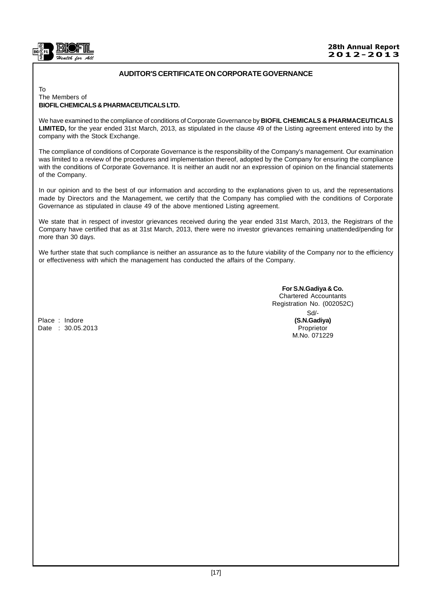

## **AUDITOR'S CERTIFICATE ON CORPORATE GOVERNANCE**

#### To The Members of **BIOFIL CHEMICALS & PHARMACEUTICALS LTD.**

We have examined to the compliance of conditions of Corporate Governance by **BIOFIL CHEMICALS & PHARMACEUTICALS LIMITED,** for the year ended 31st March, 2013, as stipulated in the clause 49 of the Listing agreement entered into by the company with the Stock Exchange.

The compliance of conditions of Corporate Governance is the responsibility of the Company's management. Our examination was limited to a review of the procedures and implementation thereof, adopted by the Company for ensuring the compliance with the conditions of Corporate Governance. It is neither an audit nor an expression of opinion on the financial statements of the Company.

In our opinion and to the best of our information and according to the explanations given to us, and the representations made by Directors and the Management, we certify that the Company has complied with the conditions of Corporate Governance as stipulated in clause 49 of the above mentioned Listing agreement.

We state that in respect of investor grievances received during the year ended 31st March, 2013, the Registrars of the Company have certified that as at 31st March, 2013, there were no investor grievances remaining unattended/pending for more than 30 days.

We further state that such compliance is neither an assurance as to the future viability of the Company nor to the efficiency or effectiveness with which the management has conducted the affairs of the Company.

> **For S.N.Gadiya & Co.** Chartered Accountants Registration No. (002052C)

Sd/- M.No. 071229

Place : Indore **(S.N.Gadiya)** Date :  $30.05.2013$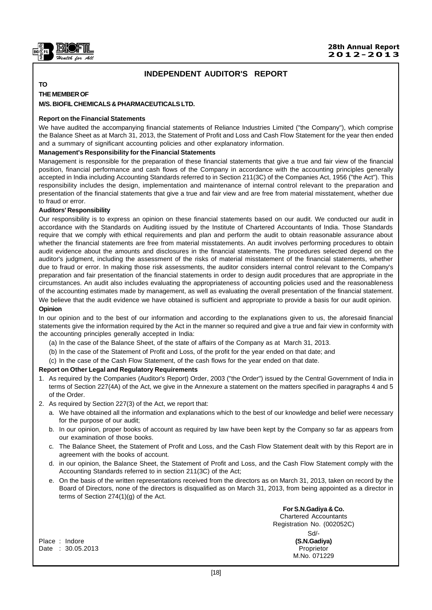

## **INDEPENDENT AUDITOR'S REPORT**

#### **TO THE MEMBER OF**

## **M/S. BIOFIL CHEMICALS & PHARMACEUTICALS LTD.**

#### **Report on the Financial Statements**

We have audited the accompanying financial statements of Reliance Industries Limited ("the Company"), which comprise the Balance Sheet as at March 31, 2013, the Statement of Profit and Loss and Cash Flow Statement for the year then ended and a summary of significant accounting policies and other explanatory information.

#### **Management's Responsibility for the Financial Statements**

Management is responsible for the preparation of these financial statements that give a true and fair view of the financial position, financial performance and cash flows of the Company in accordance with the accounting principles generally accepted in India including Accounting Standards referred to in Section 211(3C) of the Companies Act, 1956 ("the Act"). This responsibility includes the design, implementation and maintenance of internal control relevant to the preparation and presentation of the financial statements that give a true and fair view and are free from material misstatement, whether due to fraud or error.

#### **Auditors' Responsibility**

Our responsibility is to express an opinion on these financial statements based on our audit. We conducted our audit in accordance with the Standards on Auditing issued by the Institute of Chartered Accountants of India. Those Standards require that we comply with ethical requirements and plan and perform the audit to obtain reasonable assurance about whether the financial statements are free from material misstatements. An audit involves performing procedures to obtain audit evidence about the amounts and disclosures in the financial statements. The procedures selected depend on the auditor's judgment, including the assessment of the risks of material misstatement of the financial statements, whether due to fraud or error. In making those risk assessments, the auditor considers internal control relevant to the Company's preparation and fair presentation of the financial statements in order to design audit procedures that are appropriate in the circumstances. An audit also includes evaluating the appropriateness of accounting policies used and the reasonableness of the accounting estimates made by management, as well as evaluating the overall presentation of the financial statement.

We believe that the audit evidence we have obtained is sufficient and appropriate to provide a basis for our audit opinion. **Opinion**

In our opinion and to the best of our information and according to the explanations given to us, the aforesaid financial statements give the information required by the Act in the manner so required and give a true and fair view in conformity with the accounting principles generally accepted in India:

- (a) In the case of the Balance Sheet, of the state of affairs of the Company as at March 31, 2013.
- (b) In the case of the Statement of Profit and Loss, of the profit for the year ended on that date; and
- (c) In the case of the Cash Flow Statement, of the cash flows for the year ended on that date.

#### **Report on Other Legal and Regulatory Requirements**

- 1. As required by the Companies (Auditor's Report) Order, 2003 ("the Order") issued by the Central Government of India in terms of Section 227(4A) of the Act, we give in the Annexure a statement on the matters specified in paragraphs 4 and 5 of the Order.
- 2. As required by Section 227(3) of the Act, we report that:
	- a. We have obtained all the information and explanations which to the best of our knowledge and belief were necessary for the purpose of our audit;
	- b. In our opinion, proper books of account as required by law have been kept by the Company so far as appears from our examination of those books.
	- c. The Balance Sheet, the Statement of Profit and Loss, and the Cash Flow Statement dealt with by this Report are in agreement with the books of account.
	- d. in our opinion, the Balance Sheet, the Statement of Profit and Loss, and the Cash Flow Statement comply with the Accounting Standards referred to in section 211(3C) of the Act;
	- e. On the basis of the written representations received from the directors as on March 31, 2013, taken on record by the Board of Directors, none of the directors is disqualified as on March 31, 2013, from being appointed as a director in terms of Section 274(1)(g) of the Act.

Place : Indore **(S.N.Gadiya)** Date : 30.05.2013 **Proprietor** Proprietor **Proprietor** Proprietor **Proprietor** 

**For S.N.Gadiya & Co.** Chartered Accountants Registration No. (002052C)

> Sd/- M.No. 071229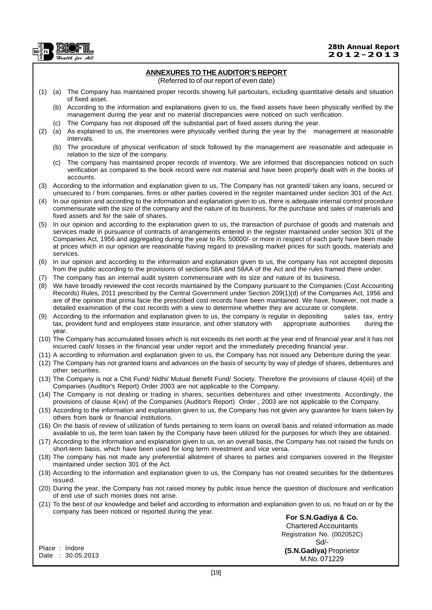#### Health for All **ANNEXURES TO THE AUDITOR'S REPORT** (Referred to of our report of even date) (1) (a) The Company has maintained proper records showing full particulars, including quantitative details and situation of fixed asset. (b) According to the information and explanations given to us, the fixed assets have been physically verified by the management during the year and no material discrepancies were noticed on such verification. (c) The Company has not disposed off the substantial part of fixed assets during the year. (2) (a) As explained to us, the inventories were physically verified during the year by the management at reasonable intervals. (b) The procedure of physical verification of stock followed by the management are reasonable and adequate in relation to the size of the company. (c) The company has maintained proper records of inventory. We are informed that discrepancies noticed on such verification as compared to the book record were not material and have been properly dealt with in the books of accounts. (3) According to the information and explanation given to us, The Company has not granted/ taken any loans, secured or unsecured to / from companies, firms or other parties covered in the register maintained under section 301 of the Act. (4) In our opinion and according to the information and explanation given to us, there is adequate internal control procedure commensurate with the size of the company and the nature of its business, for the purchase and sales of materials and fixed assets and for the sale of shares. (5) In our opinion and according to the explanation given to us, the transaction of purchase of goods and materials and services made in pursuance of contracts of arrangements entered in the register maintained under section 301 of the Companies Act, 1956 and aggregating during the year to Rs. 50000/- or more in respect of each party have been made at prices which in our opinion are reasonable having regard to prevailing market prices for such goods, materials and services. (6) In our opinion and according to the information and explanation given to us, the company has not accepted deposits from the public according to the provisions of sections 58A and 58AA of the Act and the rules framed there under. (7) The company has an internal audit system commensurate with its size and nature of its business. (8) We have broadly reviewed the cost records maintained by the Company pursuant to the Companies (Cost Accounting Records) Rules, 2011 prescribed by the Central Government under Section 209(1)(d) of the Companies Act, 1956 and are of the opinion that prima facie the prescribed cost records have been maintained. We have, however, not made a detailed examination of the cost records with a view to determine whether they are accurate or complete. (9) According to the information and explanation given to us, the company is regular in depositing sales tax, entry<br>tax, provident fund and employees state insurance, and other statutory with appropriate authorities during tax, provident fund and employees state insurance, and other statutory with year. (10) The Company has accumulated losses which is not exceeds its net worth at the year end of financial year and it has not incurred cash/ losses in the financial year under report and the immediately preceding financial year. (11) A according to information and explanation given to us, the Company has not issued any Debenture during the year. (12) The Company has not granted loans and advances on the basis of security by way of pledge of shares, debentures and other securities. (13) The Company is not a Chit Fund/ Nidhi/ Mutual Benefit Fund/ Society. Therefore the provisions of clause 4(xiii) of the Companies (Auditor's Report) Order 2003 are not applicable to the Company. (14) The Company is not dealing or trading in shares, securities debentures and other investments. Accordingly, the provisions of clause 4(xiv) of the Companies (Auditor's Report) Order , 2003 are not applicable to the Company. (15) According to the information and explanation given to us, the Company has not given any guarantee for loans taken by others from bank or financial institutions. (16) On the basis of review of utilization of funds pertaining to term loans on overall basis and related information as made available to us, the term loan taken by the Company have been utilized for the purposes for which they are obtained. (17) According to the information and explanation given to us, on an overall basis, the Company has not raised the funds on short-term basis, which have been used for long term investment and vice versa. (18) The company has not made any preferential allotment of shares to parties and companies covered in the Register maintained under section 301 of the Act. (19) According to the information and explanation given to us, the Company has not created securities for the debentures issued. (20) During the year, the Company has not raised money by public issue hence the question of disclosure and verification of end use of such monies does not arise. (21) To the best of our knowledge and belief and according to information and explanation given to us, no fraud on or by the company has been noticed or reported during the year. Place : Indore **For S.N.Gadiya & Co.** Chartered Accountants Registration No. (002052C) Sd/- **(S.N.Gadiya)** Proprietor

Date : 30.05.2013

M.No. 071229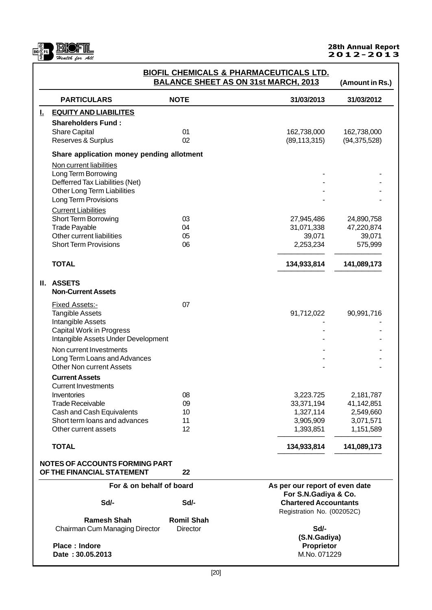



|    |                                                                     | <b>BIOFIL CHEMICALS &amp; PHARMACEUTICALS LTD.</b><br><b>BALANCE SHEET AS ON 31st MARCH, 2013</b> |                                                                                    | (Amount in Rs.)          |
|----|---------------------------------------------------------------------|---------------------------------------------------------------------------------------------------|------------------------------------------------------------------------------------|--------------------------|
|    | <b>PARTICULARS</b>                                                  | <b>NOTE</b>                                                                                       | 31/03/2013                                                                         | 31/03/2012               |
| ı. | <b>EQUITY AND LIABILITES</b>                                        |                                                                                                   |                                                                                    |                          |
|    | <b>Shareholders Fund:</b>                                           |                                                                                                   |                                                                                    |                          |
|    | Share Capital                                                       | 01                                                                                                | 162,738,000                                                                        | 162,738,000              |
|    | Reserves & Surplus                                                  | 02                                                                                                | (89, 113, 315)                                                                     | (94, 375, 528)           |
|    | Share application money pending allotment                           |                                                                                                   |                                                                                    |                          |
|    | Non current liabilities                                             |                                                                                                   |                                                                                    |                          |
|    | Long Term Borrowing                                                 |                                                                                                   |                                                                                    |                          |
|    | Defferred Tax Liabilities (Net)                                     |                                                                                                   |                                                                                    |                          |
|    | Other Long Term Liabilities<br><b>Long Term Provisions</b>          |                                                                                                   |                                                                                    |                          |
|    |                                                                     |                                                                                                   |                                                                                    |                          |
|    | <b>Current Liabilities</b>                                          |                                                                                                   |                                                                                    |                          |
|    | <b>Short Term Borrowing</b><br><b>Trade Payable</b>                 | 03<br>04                                                                                          | 27,945,486<br>31,071,338                                                           | 24,890,758<br>47,220,874 |
|    | Other current liabilities                                           | 05                                                                                                | 39,071                                                                             | 39,071                   |
|    | <b>Short Term Provisions</b>                                        | 06                                                                                                | 2,253,234                                                                          | 575,999                  |
|    |                                                                     |                                                                                                   |                                                                                    |                          |
|    | <b>TOTAL</b>                                                        |                                                                                                   | 134,933,814                                                                        | 141,089,173              |
|    | II. ASSETS<br><b>Non-Current Assets</b>                             |                                                                                                   |                                                                                    |                          |
|    | <b>Fixed Assets:-</b>                                               | 07                                                                                                |                                                                                    |                          |
|    | <b>Tangible Assets</b>                                              |                                                                                                   | 91,712,022                                                                         | 90,991,716               |
|    | Intangible Assets                                                   |                                                                                                   |                                                                                    |                          |
|    | <b>Capital Work in Progress</b>                                     |                                                                                                   |                                                                                    |                          |
|    | Intangible Assets Under Development                                 |                                                                                                   |                                                                                    |                          |
|    | Non current Investments                                             |                                                                                                   |                                                                                    |                          |
|    | Long Term Loans and Advances<br><b>Other Non current Assets</b>     |                                                                                                   |                                                                                    |                          |
|    | <b>Current Assets</b>                                               |                                                                                                   |                                                                                    |                          |
|    | <b>Current Investments</b>                                          |                                                                                                   |                                                                                    |                          |
|    | Inventories                                                         | 08                                                                                                | 3,223.725                                                                          | 2,181,787                |
|    | <b>Trade Receivable</b>                                             | 09                                                                                                | 33,371,194                                                                         | 41,142,851               |
|    | Cash and Cash Equivalents<br>Short term loans and advances          | 10<br>11                                                                                          | 1,327,114                                                                          | 2,549,660                |
|    | Other current assets                                                | 12                                                                                                | 3,905,909<br>1,393,851                                                             | 3,071,571<br>1,151,589   |
|    | <b>TOTAL</b>                                                        |                                                                                                   | 134,933,814                                                                        | 141,089,173              |
|    |                                                                     |                                                                                                   |                                                                                    |                          |
|    | <b>NOTES OF ACCOUNTS FORMING PART</b><br>OF THE FINANCIAL STATEMENT | 22                                                                                                |                                                                                    |                          |
|    |                                                                     | For & on behalf of board                                                                          | As per our report of even date                                                     |                          |
|    | Sd/-                                                                | Sd/-                                                                                              | For S.N.Gadiya & Co.<br><b>Chartered Accountants</b><br>Registration No. (002052C) |                          |
|    | <b>Ramesh Shah</b>                                                  | <b>Romil Shah</b>                                                                                 |                                                                                    |                          |
|    | Chairman Cum Managing Director                                      | <b>Director</b>                                                                                   | Sd/-                                                                               |                          |
|    |                                                                     |                                                                                                   | (S.N.Gadiya)                                                                       |                          |
|    | <b>Place: Indore</b>                                                |                                                                                                   | Proprietor                                                                         |                          |
|    | Date: 30.05.2013                                                    |                                                                                                   | M.No. 071229                                                                       |                          |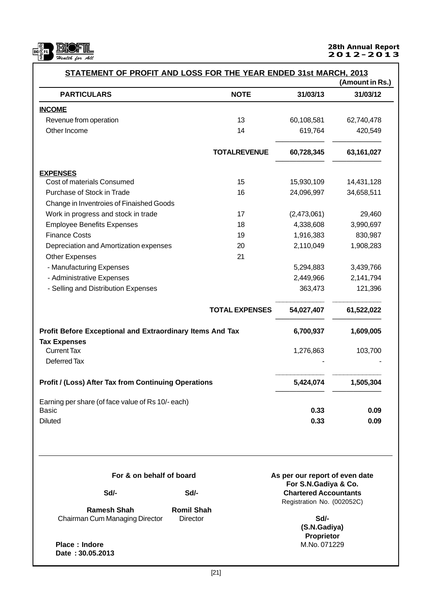

|                                                             |                       |                                                      | (Amount in Rs.) |
|-------------------------------------------------------------|-----------------------|------------------------------------------------------|-----------------|
| <b>PARTICULARS</b>                                          | <b>NOTE</b>           | 31/03/13                                             | 31/03/12        |
| <b>INCOME</b>                                               |                       |                                                      |                 |
| Revenue from operation                                      | 13                    | 60,108,581                                           | 62,740,478      |
| Other Income                                                | 14                    | 619,764                                              | 420,549         |
|                                                             | <b>TOTALREVENUE</b>   | 60,728,345                                           | 63, 161, 027    |
| <b>EXPENSES</b>                                             |                       |                                                      |                 |
| Cost of materials Consumed                                  | 15                    | 15,930,109                                           | 14,431,128      |
| Purchase of Stock in Trade                                  | 16                    | 24,096,997                                           | 34,658,511      |
| Change in Inventroies of Finaished Goods                    |                       |                                                      |                 |
| Work in progress and stock in trade                         | 17                    | (2,473,061)                                          | 29,460          |
| <b>Employee Benefits Expenses</b>                           | 18                    | 4,338,608                                            | 3,990,697       |
| <b>Finance Costs</b>                                        | 19                    | 1,916,383                                            | 830,987         |
| Depreciation and Amortization expenses                      | 20                    | 2,110,049                                            | 1,908,283       |
| <b>Other Expenses</b>                                       | 21                    |                                                      |                 |
| - Manufacturing Expenses                                    |                       | 5,294,883                                            | 3,439,766       |
| - Administrative Expenses                                   |                       | 2,449,966                                            | 2,141,794       |
| - Selling and Distribution Expenses                         |                       | 363,473                                              | 121,396         |
|                                                             | <b>TOTAL EXPENSES</b> | 54,027,407                                           | 61,522,022      |
| Profit Before Exceptional and Extraordinary Items And Tax   |                       | 6,700,937                                            | 1,609,005       |
| <b>Tax Expenses</b>                                         |                       |                                                      |                 |
| <b>Current Tax</b>                                          |                       | 1,276,863                                            | 103,700         |
| Deferred Tax                                                |                       |                                                      |                 |
| <b>Profit / (Loss) After Tax from Continuing Operations</b> |                       | 5,424,074                                            | 1,505,304       |
| Earning per share (of face value of Rs 10/- each)           |                       |                                                      |                 |
| <b>Basic</b>                                                |                       | 0.33                                                 | 0.09            |
| <b>Diluted</b>                                              |                       | 0.33                                                 | 0.09            |
| For & on behalf of board                                    |                       | As per our report of even date                       |                 |
| Sd/-                                                        | Sd/-                  | For S.N.Gadiya & Co.<br><b>Chartered Accountants</b> |                 |
|                                                             |                       | Registration No. (002052C)                           |                 |
| <b>Ramesh Shah</b>                                          | <b>Romil Shah</b>     |                                                      |                 |
| Chairman Cum Managing Director                              | <b>Director</b>       | Sd/-                                                 |                 |
|                                                             |                       | (S.N.Gadiya)                                         |                 |
| Place: Indore                                               |                       | Proprietor<br>M.No. 071229                           |                 |
| Date: 30.05.2013                                            |                       |                                                      |                 |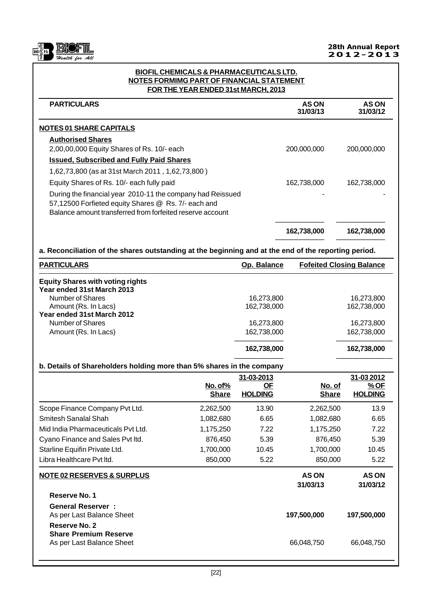

| <b>PARTICULARS</b>                                                                                                                                                             | <b>AS ON</b><br>31/03/13 | <b>AS ON</b><br>31/03/12 |
|--------------------------------------------------------------------------------------------------------------------------------------------------------------------------------|--------------------------|--------------------------|
| <b>NOTES 01 SHARE CAPITALS</b>                                                                                                                                                 |                          |                          |
| <b>Authorised Shares</b>                                                                                                                                                       |                          |                          |
| 2,00,00,000 Equity Shares of Rs. 10/- each                                                                                                                                     | 200,000,000              | 200,000,000              |
| <b>Issued, Subscribed and Fully Paid Shares</b>                                                                                                                                |                          |                          |
| 1,62,73,800 (as at 31st March 2011, 1,62,73,800)                                                                                                                               |                          |                          |
| Equity Shares of Rs. 10/- each fully paid                                                                                                                                      | 162,738,000              | 162,738,000              |
| During the financial year 2010-11 the company had Reissued<br>57,12500 Forfieted equity Shares @ Rs. 7/- each and<br>Balance amount transferred from forfeited reserve account |                          |                          |
|                                                                                                                                                                                | 162,738,000              | 162,738,000              |

## **a. Reconciliation of the shares outstanding at the beginning and at the end of the reporting period.**

| <b>PARTICULARS</b>                                                    |                         | Op. Balance                 | <b>Fofeited Closing Balance</b> |                          |
|-----------------------------------------------------------------------|-------------------------|-----------------------------|---------------------------------|--------------------------|
| <b>Equity Shares with voting rights</b>                               |                         |                             |                                 |                          |
| Year ended 31st March 2013                                            |                         |                             |                                 |                          |
| <b>Number of Shares</b>                                               |                         | 16,273,800                  |                                 | 16,273,800               |
| Amount (Rs. In Lacs)<br>Year ended 31st March 2012                    |                         | 162,738,000                 |                                 | 162,738,000              |
| <b>Number of Shares</b>                                               |                         | 16,273,800                  |                                 | 16,273,800               |
| Amount (Rs. In Lacs)                                                  |                         | 162,738,000                 |                                 | 162,738,000              |
|                                                                       |                         |                             |                                 |                          |
|                                                                       |                         | 162,738,000                 |                                 | 162,738,000              |
| b. Details of Shareholders holding more than 5% shares in the company |                         |                             |                                 |                          |
|                                                                       |                         | 31-03-2013                  |                                 | 31-03 2012               |
|                                                                       | No. of%<br><b>Share</b> | <b>OF</b><br><b>HOLDING</b> | No. of<br><b>Share</b>          | $%$ OF<br><b>HOLDING</b> |
| Scope Finance Company Pvt Ltd.                                        | 2,262,500               | 13.90                       | 2,262,500                       | 13.9                     |
| Smitesh Sanalal Shah                                                  | 1,082,680               | 6.65                        | 1,082,680                       | 6.65                     |
| Mid India Pharmaceuticals Pyt Ltd.                                    | 1,175,250               | 7.22                        | 1,175,250                       | 7.22                     |
| Cyano Finance and Sales Pvt ltd.                                      | 876,450                 | 5.39                        | 876,450                         | 5.39                     |
| Starline Equifin Private Ltd.                                         | 1,700,000               | 10.45                       | 1,700,000                       | 10.45                    |
| Libra Healthcare Pyt Itd.                                             | 850,000                 | 5.22                        | 850,000                         | 5.22                     |
| <b>NOTE 02 RESERVES &amp; SURPLUS</b>                                 |                         |                             | <b>AS ON</b>                    | <b>AS ON</b>             |
|                                                                       |                         |                             | 31/03/13                        | 31/03/12                 |
| Reserve No. 1                                                         |                         |                             |                                 |                          |
| <b>General Reserver:</b>                                              |                         |                             |                                 |                          |
| As per Last Balance Sheet                                             |                         |                             | 197,500,000                     | 197,500,000              |
| Reserve No. 2                                                         |                         |                             |                                 |                          |
| <b>Share Premium Reserve</b>                                          |                         |                             |                                 |                          |
| As per Last Balance Sheet                                             |                         |                             | 66,048,750                      | 66,048,750               |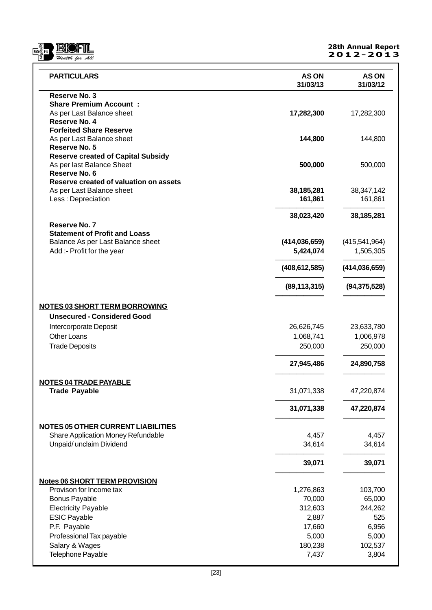| $\exists\Re$ FILE | <b>BIOFIL</b>     |
|-------------------|-------------------|
|                   | Health for<br>All |

| <b>PARTICULARS</b>                                                                                                         | <b>ASON</b><br>31/03/13 | <b>ASON</b><br>31/03/12 |
|----------------------------------------------------------------------------------------------------------------------------|-------------------------|-------------------------|
| Reserve No. 3                                                                                                              |                         |                         |
| <b>Share Premium Account:</b>                                                                                              |                         |                         |
| As per Last Balance sheet                                                                                                  | 17,282,300              | 17,282,300              |
| Reserve No. 4                                                                                                              |                         |                         |
| <b>Forfeited Share Reserve</b>                                                                                             |                         |                         |
| As per Last Balance sheet                                                                                                  | 144,800                 | 144,800                 |
| Reserve No. 5                                                                                                              |                         |                         |
| <b>Reserve created of Capital Subsidy</b>                                                                                  |                         |                         |
| As per last Balance Sheet                                                                                                  | 500,000                 | 500,000                 |
| Reserve No. 6                                                                                                              |                         |                         |
| Reserve created of valuation on assets                                                                                     |                         |                         |
| As per Last Balance sheet                                                                                                  | 38,185,281              | 38,347,142              |
| Less: Depreciation                                                                                                         | 161,861                 | 161,861                 |
|                                                                                                                            |                         |                         |
|                                                                                                                            | 38,023,420              | 38,185,281              |
| Reserve No. 7                                                                                                              |                         |                         |
| <b>Statement of Profit and Loass</b>                                                                                       |                         |                         |
| Balance As per Last Balance sheet                                                                                          | (414, 036, 659)         | (415, 541, 964)         |
| Add :- Profit for the year                                                                                                 | 5,424,074               | 1,505,305               |
|                                                                                                                            | (408, 612, 585)         | (414, 036, 659)         |
|                                                                                                                            | (89, 113, 315)          | (94, 375, 528)          |
| <b>NOTES 03 SHORT TERM BORROWING</b><br><b>Unsecured - Considered Good</b><br>Intercorporate Deposit<br><b>Other Loans</b> | 26,626,745<br>1,068,741 | 23,633,780<br>1,006,978 |
| <b>Trade Deposits</b>                                                                                                      | 250,000                 | 250,000                 |
|                                                                                                                            | 27,945,486              | 24,890,758              |
| <b>NOTES 04 TRADE PAYABLE</b>                                                                                              |                         |                         |
| <b>Trade Payable</b>                                                                                                       | 31,071,338              | 47,220,874              |
|                                                                                                                            | 31,071,338              | 47,220,874              |
| <b>NOTES 05 OTHER CURRENT LIABILITIES</b><br>Share Application Money Refundable                                            | 4,457                   | 4,457                   |
| Unpaid/ unclaim Dividend                                                                                                   | 34,614                  | 34,614                  |
|                                                                                                                            |                         |                         |
|                                                                                                                            | 39,071                  | 39,071                  |
| <b>Notes 06 SHORT TERM PROVISION</b>                                                                                       |                         |                         |
| Provison for Income tax                                                                                                    | 1,276,863               | 103,700                 |
| <b>Bonus Payable</b>                                                                                                       | 70,000                  | 65,000                  |
| <b>Electricity Payable</b>                                                                                                 | 312,603                 | 244,262                 |
| <b>ESIC Payable</b>                                                                                                        | 2,887                   | 525                     |
| P.F. Payable                                                                                                               | 17,660                  | 6,956                   |
| Professional Tax payable                                                                                                   | 5,000                   | 5,000                   |
| Salary & Wages                                                                                                             | 180,238                 | 102,537                 |
| Telephone Payable                                                                                                          | 7,437                   | 3,804                   |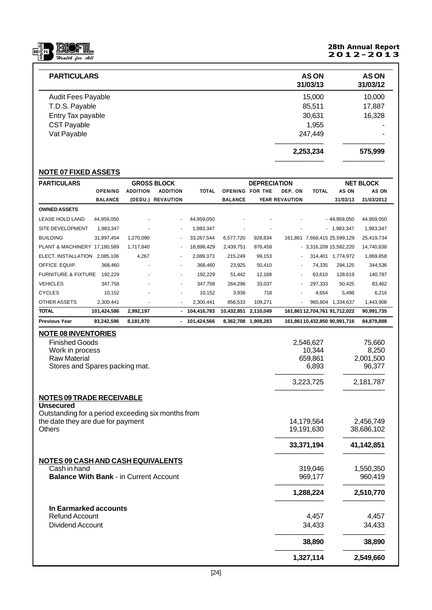# $\begin{array}{c}\n\begin{array}{c}\n\text{R}\n\text{BO} & \text{B} \\
\text{H}\n\end{array}\n\end{array}$

ד∜ן

## 28th Annual Report 2012-2013

| <b>PARTICULARS</b>        | <b>AS ON</b><br>31/03/13 | <b>AS ON</b><br>31/03/12 |
|---------------------------|--------------------------|--------------------------|
| <b>Audit Fees Payable</b> | 15,000                   | 10,000                   |
| T.D.S. Payable            | 85,511                   | 17,887                   |
| Entry Tax payable         | 30,631                   | 16,328                   |
| <b>CST Payable</b>        | 1,955                    |                          |
| Vat Payable               | 247,449                  |                          |
|                           | 2,253,234                | 575,999                  |

## **NOTE 07 FIXED ASSETS**

| <b>PARTICULARS</b>             |                |                 | <b>GROSS BLOCK</b> |              |                | <b>DEPRECIATION</b> |                          |              |                               | <b>NET BLOCK</b> |
|--------------------------------|----------------|-----------------|--------------------|--------------|----------------|---------------------|--------------------------|--------------|-------------------------------|------------------|
|                                | <b>OPENING</b> | <b>ADDITION</b> | <b>ADDITION</b>    | <b>TOTAL</b> | <b>OPENING</b> | <b>FOR THE</b>      | DEP. ON                  | <b>TOTAL</b> | AS ON                         | AS ON            |
|                                | <b>BALANCE</b> |                 | (DEDU.) REVAUTION  |              | <b>BALANCE</b> |                     | <b>YEAR REVAUTION</b>    |              | 31/03/13                      | 31/03/2012       |
| <b>OWNED ASSETS</b>            |                |                 |                    |              |                |                     |                          |              |                               |                  |
| LEASE HOLD LAND                | 44,959,050     |                 |                    | 44,959,050   |                |                     |                          |              | - 44,959,050                  | 44,959,050       |
| <b>SITE DEVELOPMENT</b>        | 1,983,347      |                 | ٠                  | 1,983,347    |                |                     |                          |              | $-1,983,347$                  | 1,983,347        |
| <b>BUILDING</b>                | 31,997,454     | 1,270,090       | ٠                  | 33,267,544   | 6,577,720      | 928,834             |                          |              | 161,861 7,668,415 25,599,129  | 25,419,734       |
| PLANT & MACHINERY 17,180,589   |                | 1,717,840       | ٠                  | 18,898,429   | 2,439,751      | 876,458             |                          |              | $-3,316,209$ 15,582,220       | 14,740,838       |
| ELECT. INSTALLATION            | 2,085,106      | 4,267           | ٠                  | 2,089,373    | 215,249        | 99,153              | $\sim$                   | 314,401      | 1,774,972                     | 1,869,858        |
| OFFICE EQUIP.                  | 368,460        |                 | ٠                  | 368,460      | 23,925         | 50,410              | $\blacksquare$           | 74,335       | 294,125                       | 344,536          |
| <b>FURNITURE &amp; FIXTURE</b> | 192,229        |                 | $\blacksquare$     | 192,229      | 51,442         | 12,168              | $\overline{\phantom{a}}$ | 63,610       | 128,619                       | 140,787          |
| <b>VEHICLES</b>                | 347,758        |                 | ٠                  | 347,758      | 264,296        | 33,037              | $\overline{\phantom{a}}$ | 297,333      | 50,425                        | 83,462           |
| <b>CYCLES</b>                  | 10,152         | ä,              | $\blacksquare$     | 10,152       | 3,936          | 718                 |                          | 4,654        | 5,498                         | 6,216            |
| OTHER ASSETS                   | 2,300,441      |                 | $\sim$             | 2,300,441    | 856,533        | 109,271             | $\blacksquare$           | 965,804      | 1,334,637                     | 1,443,908        |
| <b>TOTAL</b>                   | 101,424,586    | 2,992,197       | ۰                  | 104,416,783  | 10,432,851     | 2,110,049           |                          |              | 161,86112,704,761 91,712,022  | 90,991,735       |
| <b>Previous Year</b>           | 93,242,596     | 8,181,970       |                    | 101,424,566  | 8,362,708      | 1,908,283           |                          |              | 161,861 10,432,850 90,991,716 | 84,879,888       |
| NOTE 00 INVENTODIES            |                |                 |                    |              |                |                     |                          |              |                               |                  |

| <b>NOTE 08 INVENTORIES</b>                         |            |            |
|----------------------------------------------------|------------|------------|
| <b>Finished Goods</b>                              | 2,546,627  | 75,660     |
| Work in process                                    | 10,344     | 8,250      |
| <b>Raw Material</b>                                | 659,861    | 2,001,500  |
| Stores and Spares packing mat.                     | 6,893      | 96,377     |
|                                                    | 3,223,725  | 2,181,787  |
| <b>NOTES 09 TRADE RECEIVABLE</b>                   |            |            |
| <b>Unsecured</b>                                   |            |            |
| Outstanding for a period exceeding six months from |            |            |
| the date they are due for payment                  | 14,179,564 | 2,456,749  |
| <b>Others</b>                                      | 19,191,630 | 38,686,102 |
|                                                    | 33,371,194 | 41,142,851 |
| <b>NOTES 09 CASH AND CASH EQUIVALENTS</b>          |            |            |
| Cash in hand                                       | 319,046    | 1,550,350  |
| <b>Balance With Bank - in Current Account</b>      | 969,177    | 960,419    |
|                                                    | 1,288,224  | 2,510,770  |
| In Earmarked accounts                              |            |            |
| <b>Refund Account</b>                              | 4,457      | 4,457      |
| <b>Dividend Account</b>                            | 34,433     | 34,433     |
|                                                    | 38,890     | 38,890     |
|                                                    | 1,327,114  | 2,549,660  |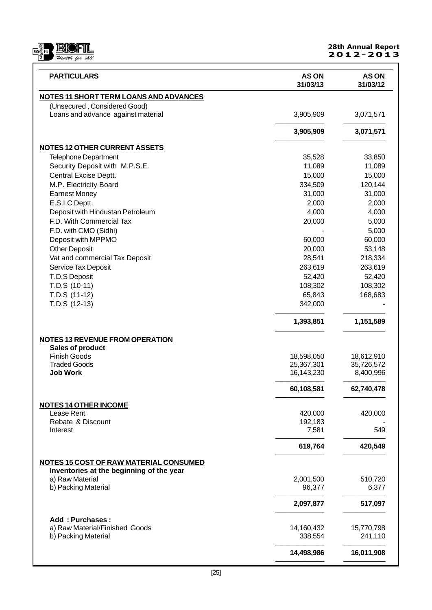| $\mathbb{R}^n$ | <b>BIOFIL</b>  |
|----------------|----------------|
|                | Health for All |

| <b>PARTICULARS</b>                            | <b>AS ON</b><br>31/03/13 | <b>AS ON</b><br>31/03/12 |
|-----------------------------------------------|--------------------------|--------------------------|
| <b>NOTES 11 SHORT TERM LOANS AND ADVANCES</b> |                          |                          |
| (Unsecured, Considered Good)                  |                          |                          |
| Loans and advance against material            | 3,905,909                | 3,071,571                |
|                                               | 3,905,909                | 3,071,571                |
| <b>NOTES 12 OTHER CURRENT ASSETS</b>          |                          |                          |
| <b>Telephone Department</b>                   | 35,528                   | 33,850                   |
| Security Deposit with M.P.S.E.                | 11,089                   | 11,089                   |
| Central Excise Deptt.                         | 15,000                   | 15,000                   |
| M.P. Electricity Board                        | 334,509                  | 120,144                  |
| <b>Earnest Money</b>                          | 31,000                   | 31,000                   |
| E.S.I.C Deptt.                                | 2,000                    | 2,000                    |
| Deposit with Hindustan Petroleum              | 4,000                    | 4,000                    |
| F.D. With Commercial Tax                      | 20,000                   | 5,000                    |
| F.D. with CMO (Sidhi)                         |                          | 5,000                    |
| Deposit with MPPMO                            | 60,000                   | 60,000                   |
| <b>Other Deposit</b>                          | 20,000                   | 53,148                   |
| Vat and commercial Tax Deposit                | 28,541                   | 218,334                  |
| Service Tax Deposit                           | 263,619                  | 263,619                  |
| T.D.S Deposit                                 | 52,420                   | 52,420                   |
| T.D.S (10-11)                                 | 108,302                  | 108,302                  |
| T.D.S (11-12)                                 | 65,843                   | 168,683                  |
| T.D.S (12-13)                                 | 342,000                  |                          |
|                                               |                          |                          |
|                                               | 1,393,851                | 1,151,589                |
| <b>NOTES 13 REVENUE FROM OPERATION</b>        |                          |                          |
| <b>Sales of product</b>                       |                          |                          |
| <b>Finish Goods</b>                           | 18,598,050               | 18,612,910               |
| <b>Traded Goods</b>                           | 25,367,301               | 35,726,572               |
| <b>Job Work</b>                               | 16,143,230               | 8,400,996                |
|                                               | 60,108,581               | 62,740,478               |
| <b>NOTES 14 OTHER INCOME</b>                  |                          |                          |
| Lease Rent                                    | 420,000                  | 420,000                  |
| Rebate & Discount                             | 192,183                  |                          |
| Interest                                      | 7,581                    | 549                      |
|                                               | 619,764                  | 420,549                  |
| <b>NOTES 15 COST OF RAW MATERIAL CONSUMED</b> |                          |                          |
| Inventories at the beginning of the year      |                          |                          |
| a) Raw Material                               | 2,001,500                | 510,720                  |
| b) Packing Material                           | 96,377                   | 6,377                    |
|                                               | 2,097,877                | 517,097                  |
| Add: Purchases:                               |                          |                          |
| a) Raw Material/Finished Goods                | 14,160,432               | 15,770,798               |
| b) Packing Material                           | 338,554                  | 241,110                  |
|                                               | 14,498,986               | 16,011,908               |
|                                               |                          |                          |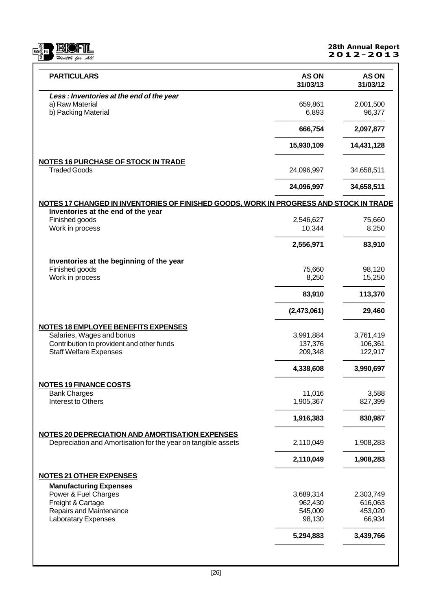| — ም<br>'en k | <u> BIOFIL</u> |
|--------------|----------------|
|              | Health for All |

| <b>PARTICULARS</b>                                                                            | <b>ASON</b><br>31/03/13 | <b>ASON</b><br>31/03/12 |
|-----------------------------------------------------------------------------------------------|-------------------------|-------------------------|
| Less: Inventories at the end of the year                                                      |                         |                         |
| a) Raw Material                                                                               | 659,861                 | 2,001,500               |
| b) Packing Material                                                                           | 6,893                   | 96,377                  |
|                                                                                               | 666,754                 | 2,097,877               |
|                                                                                               | 15,930,109              | 14,431,128              |
| <b>NOTES 16 PURCHASE OF STOCK IN TRADE</b>                                                    |                         |                         |
| <b>Traded Goods</b>                                                                           | 24,096,997              | 34,658,511              |
|                                                                                               | 24,096,997              | 34,658,511              |
| <u>NOTES 17 CHANGED IN INVENTORIES OF FINISHED GOODS, WORK IN PROGRESS AND STOCK IN TRADE</u> |                         |                         |
| Inventories at the end of the year                                                            |                         |                         |
| Finished goods                                                                                | 2,546,627               | 75,660                  |
| Work in process                                                                               | 10,344                  | 8,250                   |
|                                                                                               | 2,556,971               | 83,910                  |
| Inventories at the beginning of the year                                                      |                         |                         |
| Finished goods                                                                                | 75,660                  | 98,120                  |
| Work in process                                                                               | 8,250                   | 15,250                  |
|                                                                                               | 83,910                  | 113,370                 |
|                                                                                               | (2,473,061)             | 29,460                  |
| <b>NOTES 18 EMPLOYEE BENEFITS EXPENSES</b>                                                    |                         |                         |
| Salaries, Wages and bonus                                                                     | 3,991,884               | 3,761,419               |
| Contribution to provident and other funds                                                     | 137,376                 | 106,361                 |
| <b>Staff Welfare Expenses</b>                                                                 | 209,348                 | 122,917                 |
|                                                                                               | 4,338,608               | 3,990,697               |
| <b>NOTES 19 FINANCE COSTS</b>                                                                 |                         |                         |
| <b>Bank Charges</b>                                                                           | 11,016                  | 3,588                   |
| Interest to Others                                                                            | 1,905,367               | 827,399                 |
|                                                                                               | 1,916,383               | 830,987                 |
| <b>NOTES 20 DEPRECIATION AND AMORTISATION EXPENSES</b>                                        |                         |                         |
| Depreciation and Amortisation for the year on tangible assets                                 | 2,110,049               | 1,908,283               |
|                                                                                               | 2,110,049               | 1,908,283               |
| <b>NOTES 21 OTHER EXPENSES</b>                                                                |                         |                         |
| <b>Manufacturing Expenses</b>                                                                 |                         |                         |
| Power & Fuel Charges                                                                          | 3,689,314               | 2,303,749               |
| Freight & Cartage                                                                             | 962,430                 | 616,063                 |
| Repairs and Maintenance                                                                       | 545,009                 | 453,020                 |
| <b>Laboratary Expenses</b>                                                                    | 98,130                  | 66,934                  |
|                                                                                               | 5,294,883               | 3,439,766               |
|                                                                                               |                         |                         |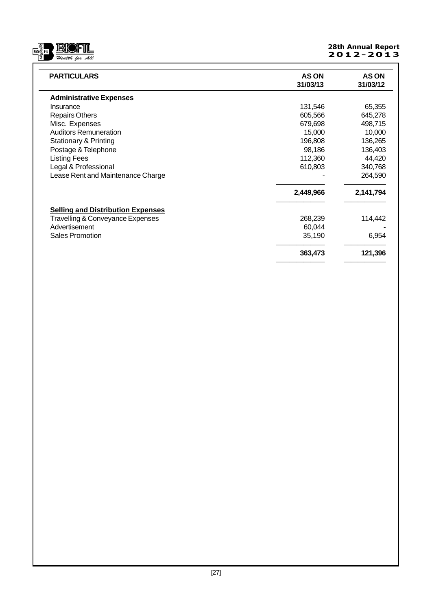| <b>BIOFIT</b><br>`¶Ľ |
|----------------------|
| Health for All       |

## 28th Annual Report 2012-2013

| <b>PARTICULARS</b>                          | <b>AS ON</b><br>31/03/13 | <b>AS ON</b><br>31/03/12 |
|---------------------------------------------|--------------------------|--------------------------|
| <b>Administrative Expenses</b>              |                          |                          |
| Insurance                                   | 131,546                  | 65,355                   |
| <b>Repairs Others</b>                       | 605,566                  | 645,278                  |
| Misc. Expenses                              | 679,698                  | 498,715                  |
| <b>Auditors Remuneration</b>                | 15,000                   | 10,000                   |
| <b>Stationary &amp; Printing</b>            | 196,808                  | 136,265                  |
| Postage & Telephone                         | 98,186                   | 136,403                  |
| <b>Listing Fees</b>                         | 112,360                  | 44,420                   |
| Legal & Professional                        | 610,803                  | 340,768                  |
| Lease Rent and Maintenance Charge           |                          | 264,590                  |
|                                             | 2,449,966                | 2,141,794                |
| <b>Selling and Distribution Expenses</b>    |                          |                          |
| <b>Travelling &amp; Conveyance Expenses</b> | 268,239                  | 114,442                  |
| Advertisement                               | 60,044                   |                          |
| <b>Sales Promotion</b>                      | 35,190                   | 6,954                    |
|                                             | 363,473                  | 121,396                  |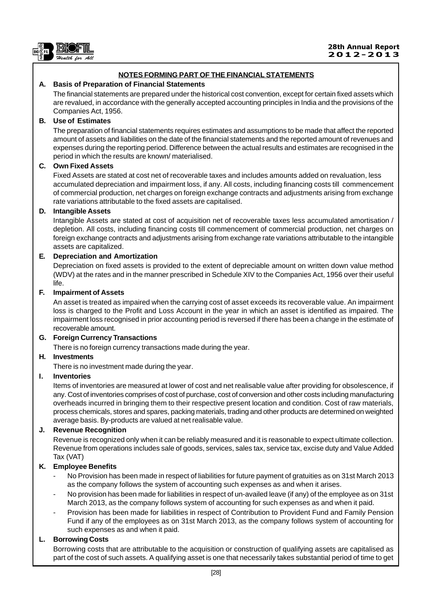

## **NOTES FORMING PART OF THE FINANCIAL STATEMENTS**

## **A. Basis of Preparation of Financial Statements**

The financial statements are prepared under the historical cost convention, except for certain fixed assets which are revalued, in accordance with the generally accepted accounting principles in India and the provisions of the Companies Act, 1956.

## **B. Use of Estimates**

The preparation of financial statements requires estimates and assumptions to be made that affect the reported amount of assets and liabilities on the date of the financial statements and the reported amount of revenues and expenses during the reporting period. Difference between the actual results and estimates are recognised in the period in which the results are known/ materialised.

## **C. Own Fixed Assets**

Fixed Assets are stated at cost net of recoverable taxes and includes amounts added on revaluation, less accumulated depreciation and impairment loss, if any. All costs, including financing costs till commencement of commercial production, net charges on foreign exchange contracts and adjustments arising from exchange rate variations attributable to the fixed assets are capitalised.

## **D. Intangible Assets**

Intangible Assets are stated at cost of acquisition net of recoverable taxes less accumulated amortisation / depletion. All costs, including financing costs till commencement of commercial production, net charges on foreign exchange contracts and adjustments arising from exchange rate variations attributable to the intangible assets are capitalized.

## **E. Depreciation and Amortization**

Depreciation on fixed assets is provided to the extent of depreciable amount on written down value method (WDV) at the rates and in the manner prescribed in Schedule XIV to the Companies Act, 1956 over their useful life.

## **F. Impairment of Assets**

An asset is treated as impaired when the carrying cost of asset exceeds its recoverable value. An impairment loss is charged to the Profit and Loss Account in the year in which an asset is identified as impaired. The impairment loss recognised in prior accounting period is reversed if there has been a change in the estimate of recoverable amount.

## **G. Foreign Currency Transactions**

There is no foreign currency transactions made during the year.

## **H. Investments**

There is no investment made during the year.

## **I. Inventories**

Items of inventories are measured at lower of cost and net realisable value after providing for obsolescence, if any. Cost of inventories comprises of cost of purchase, cost of conversion and other costs including manufacturing overheads incurred in bringing them to their respective present location and condition. Cost of raw materials, process chemicals, stores and spares, packing materials, trading and other products are determined on weighted average basis. By-products are valued at net realisable value.

## **J. Revenue Recognition**

Revenue is recognized only when it can be reliably measured and it is reasonable to expect ultimate collection. Revenue from operations includes sale of goods, services, sales tax, service tax, excise duty and Value Added Tax (VAT)

## **K. Employee Benefits**

- No Provision has been made in respect of liabilities for future payment of gratuities as on 31st March 2013 as the company follows the system of accounting such expenses as and when it arises.
- No provision has been made for liabilities in respect of un-availed leave (if any) of the employee as on 31st March 2013, as the company follows system of accounting for such expenses as and when it paid.
- Provision has been made for liabilities in respect of Contribution to Provident Fund and Family Pension Fund if any of the employees as on 31st March 2013, as the company follows system of accounting for such expenses as and when it paid.

## **L. Borrowing Costs**

Borrowing costs that are attributable to the acquisition or construction of qualifying assets are capitalised as part of the cost of such assets. A qualifying asset is one that necessarily takes substantial period of time to get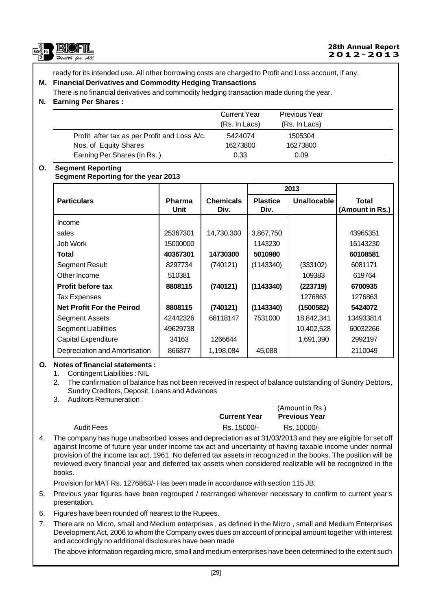ready for its intended use. All other borrowing costs are charged to Profit and Loss account, if any.

## **M. Financial Derivatives and Commodity Hedging Transactions**

There is no financial derivatives and commodity hedging transaction made during the year.

## **N. Earning Per Shares :**

|                                              | <b>Current Year</b> | <b>Previous Year</b> |
|----------------------------------------------|---------------------|----------------------|
|                                              | (Rs. In Lacs)       | (Rs. In Lacs)        |
| Profit after tax as per Profit and Loss A/c. | 5424074             | 1505304              |
| Nos. of Equity Shares                        | 16273800            | 16273800             |
| Earning Per Shares (In Rs.)                  | 0.33                | 0.09                 |

#### **O. Segment Reporting Segment Reporting for the year 2013**

|                                  |                |                          | 2013                    |                    |                          |
|----------------------------------|----------------|--------------------------|-------------------------|--------------------|--------------------------|
| <b>Particulars</b>               | Pharma<br>Unit | <b>Chemicals</b><br>Div. | <b>Plastice</b><br>Div. | <b>Unallocable</b> | Total<br>(Amount in Rs.) |
| Income                           |                |                          |                         |                    |                          |
| sales                            | 25367301       | 14,730,300               | 3,867,750               |                    | 43965351                 |
| Job Work                         | 15000000       |                          | 1143230                 |                    | 16143230                 |
| Total                            | 40367301       | 14730300                 | 5010980                 |                    | 60108581                 |
| Segment Result                   | 8297734        | (740121)                 | (1143340)               | (333102)           | 6081171                  |
| Other Income                     | 510381         |                          |                         | 109383             | 619764                   |
| <b>Profit before tax</b>         | 8808115        | (740121)                 | (1143340)               | (223719)           | 6700935                  |
| Tax Expenses                     |                |                          |                         | 1276863            | 1276863                  |
| <b>Net Profit For the Peirod</b> | 8808115        | (740121)                 | (1143340)               | (1500582)          | 5424072                  |
| <b>Segment Assets</b>            | 42442326       | 66118147                 | 7531000                 | 18,842,341         | 134933814                |
| <b>Segment Liabilities</b>       | 49629738       |                          |                         | 10,402,528         | 60032266                 |
| <b>Capital Expenditure</b>       | 34163          | 1266644                  |                         | 1,691,390          | 2992197                  |
| Depreciation and Amortisation    | 866877         | 1,198,084                | 45,088                  |                    | 2110049                  |

## **O. Notes of financial statements :**

1. Contingent Liabilities : NIL

2. The confirmation of balance has not been received in respect of balance outstanding of Sundry Debtors, Sundry Creditors, Deposit, Loans and Advances

3. Auditors Remuneration :

|                   | <b>Current Year</b> | (Amount in Rs.)<br><b>Previous Year</b> |
|-------------------|---------------------|-----------------------------------------|
| <b>Audit Fees</b> | Rs. 15000/-         | Rs. 10000/-                             |

4. The company has huge unabsorbed losses and depreciation as at 31/03/2013 and they are eligible for set off against Income of future year under income tax act and uncertainty of having taxable income under normal provision of the income tax act, 1961. No deferred tax assets in recognized in the books. The position will be reviewed every financial year and deferred tax assets when considered realizable will be recognized in the books.

Provision for MAT Rs. 1276863/- Has been made in accordance with section 115 JB.

- 5. Previous year figures have been regrouped / rearranged wherever necessary to confirm to current year's presentation.
- 6. Figures have been rounded off nearest to the Rupees.
- 7. There are no Micro, small and Medium enterprises , as defined in the Micro , small and Medium Enterprises Development Act, 2006 to whom the Company owes dues on account of principal amount together with interest and accordingly no additional disclosures have been made

The above information regarding micro, small and medium enterprises have been determined to the extent such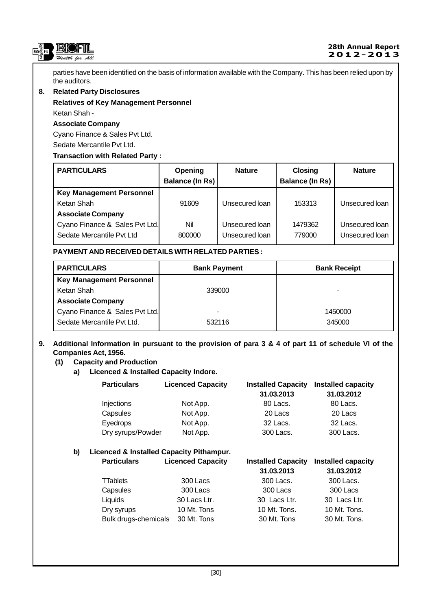parties have been identified on the basis of information available with the Company. This has been relied upon by the auditors.

## **8. Related Party Disclosures**

Health for All

131

## **Relatives of Key Management Personnel** Ketan Shah -

## **Associate Company**

Cyano Finance & Sales Pvt Ltd. Sedate Mercantile Pvt Ltd.

## **Transaction with Related Party :**

| <b>PARTICULARS</b>              | Opening<br><b>Balance (In Rs)</b> | <b>Nature</b>  | Closing<br><b>Balance (In Rs)</b> | <b>Nature</b>  |
|---------------------------------|-----------------------------------|----------------|-----------------------------------|----------------|
| <b>Key Management Personnel</b> |                                   |                |                                   |                |
| Ketan Shah                      | 91609                             | Unsecured loan | 153313                            | Unsecured loan |
| <b>Associate Company</b>        |                                   |                |                                   |                |
| Cyano Finance & Sales Pvt Ltd.  | Nil                               | Unsecured loan | 1479362                           | Unsecured loan |
| Sedate Mercantile Pyt Ltd       | 800000                            | Unsecured loan | 779000                            | Unsecured loan |

## **PAYMENT AND RECEIVED DETAILS WITH RELATED PARTIES :**

| <b>PARTICULARS</b>              | <b>Bank Payment</b> | <b>Bank Receipt</b> |
|---------------------------------|---------------------|---------------------|
| <b>Key Management Personnel</b> |                     |                     |
| Ketan Shah                      | 339000              |                     |
| <b>Associate Company</b>        |                     |                     |
| Cyano Finance & Sales Pvt Ltd.  |                     | 1450000             |
| Sedate Mercantile Pvt Ltd.      | 532116              | 345000              |

## **9. Additional Information in pursuant to the provision of para 3 & 4 of part 11 of schedule VI of the Companies Act, 1956.**

## **(1) Capacity and Production**

**a) Licenced & Installed Capacity Indore.**

| <b>Particulars</b> | <b>Licenced Capacity</b> | <b>Installed Capacity</b><br>31.03.2013 | <b>Installed capacity</b><br>31.03.2012 |
|--------------------|--------------------------|-----------------------------------------|-----------------------------------------|
| Injections         | Not App.                 | 80 Lacs.                                | 80 Lacs.                                |
| Capsules           | Not App.                 | 20 Lacs                                 | 20 Lacs                                 |
| Eyedrops           | Not App.                 | 32 Lacs.                                | 32 Lacs.                                |
| Dry syrups/Powder  | Not App.                 | 300 Lacs.                               | 300 Lacs.                               |

## **b) Licenced & Installed Capacity Pithampur.**

| <b>Particulars</b>   | <b>Licenced Capacity</b> | <b>Installed Capacity</b> | Installed capacity |  |
|----------------------|--------------------------|---------------------------|--------------------|--|
|                      |                          | 31.03.2013                | 31.03.2012         |  |
| TTablets             | 300 Lacs                 | 300 Lacs.                 | 300 Lacs.          |  |
| Capsules             | 300 Lacs                 | 300 Lacs                  | 300 Lacs           |  |
| Liquids              | 30 Lacs Ltr.             | 30 Lacs Ltr.              | 30 Lacs Ltr.       |  |
| Dry syrups           | 10 Mt. Tons              | 10 Mt. Tons.              | 10 Mt. Tons.       |  |
| Bulk drugs-chemicals | 30 Mt. Tons              | 30 Mt. Tons               | 30 Mt. Tons.       |  |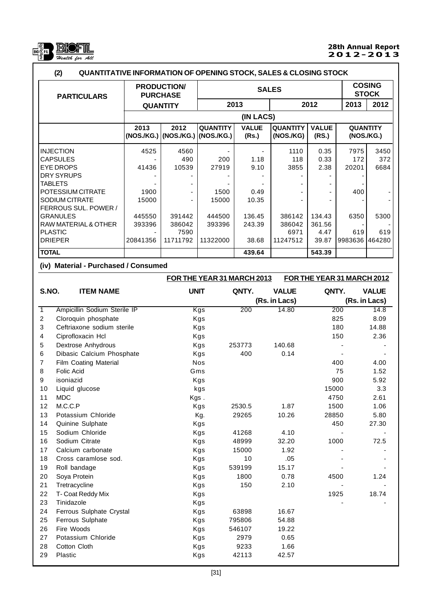

| <b>QUANTITATIVE INFORMATION OF OPENING STOCK, SALES &amp; CLOSING STOCK</b><br>(2) |                                                       |                                                                                                                                                                                  |          |                               |          |        |                |      |
|------------------------------------------------------------------------------------|-------------------------------------------------------|----------------------------------------------------------------------------------------------------------------------------------------------------------------------------------|----------|-------------------------------|----------|--------|----------------|------|
| <b>PARTICULARS</b>                                                                 | <b>PRODUCTION/</b><br><b>SALES</b><br><b>PURCHASE</b> |                                                                                                                                                                                  |          | <b>COSING</b><br><b>STOCK</b> |          |        |                |      |
|                                                                                    |                                                       | <b>QUANTITY</b>                                                                                                                                                                  |          | 2013                          |          | 2012   | 2013           | 2012 |
|                                                                                    |                                                       |                                                                                                                                                                                  |          | (IN LACS)                     |          |        |                |      |
|                                                                                    | 2013                                                  | <b>VALUE</b><br>2012<br><b>QUANTITY</b><br><b>VALUE</b><br><b>QUANTITY</b><br><b>QUANTITY</b><br>(NOS./KG.)  (NOS./KG.)  (NOS./KG.)<br>(NOS./KG)<br>(Rs.)<br>(RS.)<br>(NOS./KG.) |          |                               |          |        |                |      |
| INJECTION                                                                          | 4525                                                  | 4560                                                                                                                                                                             |          |                               | 1110     | 0.35   | 7975           | 3450 |
| <b>CAPSULES</b>                                                                    |                                                       | 490                                                                                                                                                                              | 200      | 1.18                          | 118      | 0.33   | 172            | 372  |
| <b>EYE DROPS</b>                                                                   | 41436                                                 | 10539                                                                                                                                                                            | 27919    | 9.10                          | 3855     | 2.38   | 20201          | 6684 |
| <b>DRY SYRUPS</b>                                                                  |                                                       |                                                                                                                                                                                  |          |                               |          |        |                |      |
| <b>TABLETS</b>                                                                     |                                                       |                                                                                                                                                                                  |          |                               |          |        |                |      |
| <b>POTESSIUM CITRATE</b>                                                           | 1900                                                  |                                                                                                                                                                                  | 1500     | 0.49                          |          |        | 400            |      |
| SODIUM CITRATE                                                                     | 15000                                                 |                                                                                                                                                                                  | 15000    | 10.35                         |          |        |                |      |
| FERROUS SUL. POWER /                                                               |                                                       |                                                                                                                                                                                  |          |                               |          |        |                |      |
| <b>GRANULES</b>                                                                    | 445550                                                | 391442                                                                                                                                                                           | 444500   | 136.45                        | 386142   | 134.43 | 6350           | 5300 |
| RAW MATERIAL & OTHER                                                               | 393396                                                | 386042                                                                                                                                                                           | 393396   | 243.39                        | 386042   | 361.56 |                |      |
| PLASTIC                                                                            |                                                       | 7590                                                                                                                                                                             |          |                               | 6971     | 4.47   | 619            | 619  |
| <b>DRIEPER</b>                                                                     | 20841356                                              | 11711792                                                                                                                                                                         | 11322000 | 38.68                         | 11247512 | 39.87  | 9983636 464280 |      |
| <b>TOTAL</b>                                                                       |                                                       |                                                                                                                                                                                  |          | 439.64                        |          | 543.39 |                |      |

## **(iv) Material - Purchased / Consumed**

|                |                              | FOR THE YEAR 31 MARCH 2013 |        |               | FOR THE YEAR 31 MARCH 2012 |               |  |
|----------------|------------------------------|----------------------------|--------|---------------|----------------------------|---------------|--|
| S.NO.          | <b>ITEM NAME</b>             | <b>UNIT</b>                | QNTY.  | <b>VALUE</b>  | QNTY.                      | <b>VALUE</b>  |  |
|                |                              |                            |        | (Rs. in Lacs) |                            | (Rs. in Lacs) |  |
| $\mathbf{1}$   | Ampicillin Sodium Sterile IP | Kgs                        | 200    | 14.80         | 200                        | 14.8          |  |
| $\overline{2}$ | Cloroquin phosphate          | Kgs                        |        |               | 825                        | 8.09          |  |
| 3              | Ceftriaxone sodium sterile   | Kgs                        |        |               | 180                        | 14.88         |  |
| 4              | Ciprofloxacin Hcl            | Kgs                        |        |               | 150                        | 2.36          |  |
| 5              | Dextrose Anhydrous           | Kgs                        | 253773 | 140.68        |                            |               |  |
| 6              | Dibasic Calcium Phosphate    | Kgs                        | 400    | 0.14          |                            |               |  |
| $\overline{7}$ | Film Coating Material        | <b>Nos</b>                 |        |               | 400                        | 4.00          |  |
| 8              | Folic Acid                   | Gms                        |        |               | 75                         | 1.52          |  |
| 9              | isoniazid                    | Kgs                        |        |               | 900                        | 5.92          |  |
| 10             | Liquid glucose               | kgs                        |        |               | 15000                      | 3.3           |  |
| 11             | MDC                          | Kgs.                       |        |               | 4750                       | 2.61          |  |
| 12             | M.C.C.P                      | Kgs                        | 2530.5 | 1.87          | 1500                       | 1.06          |  |
| 13             | Potassium Chloride           | Kg.                        | 29265  | 10.26         | 28850                      | 5.80          |  |
| 14             | Quinine Sulphate             | Kgs                        |        |               | 450                        | 27.30         |  |
| 15             | Sodium Chloride              | Kgs                        | 41268  | 4.10          |                            |               |  |
| 16             | Sodium Citrate               | Kgs                        | 48999  | 32.20         | 1000                       | 72.5          |  |
| 17             | Calcium carbonate            | Kgs                        | 15000  | 1.92          |                            |               |  |
| 18             | Cross caramlose sod.         | Kgs                        | 10     | .05           |                            |               |  |
| 19             | Roll bandage                 | Kgs                        | 539199 | 15.17         |                            |               |  |
| 20             | Soya Protein                 | Kgs                        | 1800   | 0.78          | 4500                       | 1.24          |  |
| 21             | Tretracycline                | Kgs                        | 150    | 2.10          |                            |               |  |
| 22             | T- Coat Reddy Mix            | Kgs                        |        |               | 1925                       | 18.74         |  |
| 23             | Tinidazole                   | Kgs                        |        |               |                            |               |  |
| 24             | Ferrous Sulphate Crystal     | Kgs                        | 63898  | 16.67         |                            |               |  |
| 25             | Ferrous Sulphate             | Kgs                        | 795806 | 54.88         |                            |               |  |
| 26             | Fire Woods                   | Kgs                        | 546107 | 19.22         |                            |               |  |
| 27             | Potassium Chloride           | Kgs                        | 2979   | 0.65          |                            |               |  |
| 28             | Cotton Cloth                 | Kgs                        | 9233   | 1.66          |                            |               |  |
| 29             | Plastic                      | Kgs                        | 42113  | 42.57         |                            |               |  |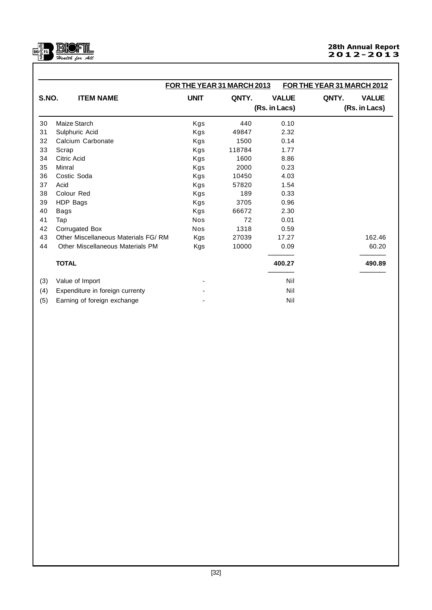28th Annual Report 2012-2013



|       |                                     | FOR THE YEAR 31 MARCH 2013 |        |               | FOR THE YEAR 31 MARCH 2012 |  |  |
|-------|-------------------------------------|----------------------------|--------|---------------|----------------------------|--|--|
| S.NO. | <b>ITEM NAME</b>                    | <b>UNIT</b>                | QNTY.  | <b>VALUE</b>  | QNTY.<br><b>VALUE</b>      |  |  |
|       |                                     |                            |        | (Rs. in Lacs) | (Rs. in Lacs)              |  |  |
| 30    | Maize Starch                        | Kgs                        | 440    | 0.10          |                            |  |  |
| 31    | Sulphuric Acid                      | Kgs                        | 49847  | 2.32          |                            |  |  |
| 32    | Calcium Carbonate                   | Kgs                        | 1500   | 0.14          |                            |  |  |
| 33    | Scrap                               | Kgs                        | 118784 | 1.77          |                            |  |  |
| 34    | <b>Citric Acid</b>                  | Kgs                        | 1600   | 8.86          |                            |  |  |
| 35    | Minral                              | Kgs                        | 2000   | 0.23          |                            |  |  |
| 36    | Costic Soda                         | Kgs                        | 10450  | 4.03          |                            |  |  |
| 37    | Acid                                | Kgs                        | 57820  | 1.54          |                            |  |  |
| 38    | Colour Red                          | Kgs                        | 189    | 0.33          |                            |  |  |
| 39    | HDP Bags                            | Kgs                        | 3705   | 0.96          |                            |  |  |
| 40    | Bags                                | Kgs                        | 66672  | 2.30          |                            |  |  |
| 41    | Tap                                 | <b>Nos</b>                 | 72     | 0.01          |                            |  |  |
| 42    | <b>Corrugated Box</b>               | <b>Nos</b>                 | 1318   | 0.59          |                            |  |  |
| 43    | Other Miscellaneous Materials FG/RM | Kgs                        | 27039  | 17.27         | 162.46                     |  |  |
| 44    | Other Miscellaneous Materials PM    | Kgs                        | 10000  | 0.09          | 60.20                      |  |  |
|       | <b>TOTAL</b>                        |                            |        | 400.27        | 490.89                     |  |  |
| (3)   | Value of Import                     |                            |        | Nil           |                            |  |  |
| (4)   | Expenditure in foreign currenty     |                            |        | Nil           |                            |  |  |
| (5)   | Earning of foreign exchange         |                            |        | Nil           |                            |  |  |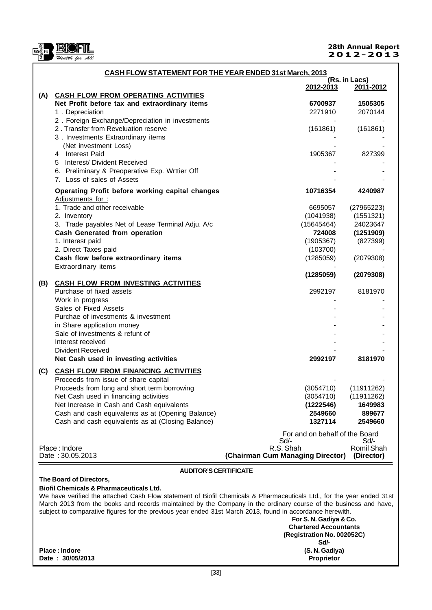| ᇒ᠉ | <b>BIOFIL</b>  |
|----|----------------|
|    | Health for All |

|     | <b>CASH FLOW STATEMENT FOR THE YEAR ENDED 31st March, 2013</b>                                                        |                                  |                            |
|-----|-----------------------------------------------------------------------------------------------------------------------|----------------------------------|----------------------------|
|     |                                                                                                                       | 2012-2013                        | (Rs. in Lacs)<br>2011-2012 |
| (A) | <b>CASH FLOW FROM OPERATING ACTIVITIES</b><br>Net Profit before tax and extraordinary items                           | 6700937                          | 1505305                    |
|     | 1. Depreciation                                                                                                       | 2271910                          | 2070144                    |
|     | 2. Foreign Exchange/Depreciation in investments                                                                       |                                  |                            |
|     | 2. Transfer from Reveluation reserve                                                                                  | (161861)                         | (161861)                   |
|     | 3. Investments Extraordinary items                                                                                    |                                  |                            |
|     | (Net investment Loss)                                                                                                 |                                  |                            |
|     | <b>Interest Paid</b><br>4                                                                                             | 1905367                          | 827399                     |
|     | Interest/ Divident Received<br>5.                                                                                     |                                  |                            |
|     | 6. Preliminary & Preoperative Exp. Wrttier Off                                                                        |                                  |                            |
|     | 7. Loss of sales of Assets                                                                                            |                                  |                            |
|     | Operating Profit before working capital changes                                                                       | 10716354                         | 4240987                    |
|     | Adjustments for:                                                                                                      |                                  |                            |
|     | 1. Trade and other receivable                                                                                         | 6695057                          | (27965223)                 |
|     | 2. Inventory                                                                                                          | (1041938)                        | (1551321)                  |
|     | 3. Trade payables Net of Lease Terminal Adju. A/c                                                                     | (15645464)                       | 24023647                   |
|     | <b>Cash Generated from operation</b>                                                                                  | 724008                           | (1251909)                  |
|     | 1. Interest paid                                                                                                      | (1905367)                        | (827399)                   |
|     | 2. Direct Taxes paid                                                                                                  |                                  |                            |
|     | Cash flow before extraordinary items                                                                                  | (103700)<br>(1285059)            | (2079308)                  |
|     | Extraordinary items                                                                                                   |                                  |                            |
|     |                                                                                                                       |                                  |                            |
|     |                                                                                                                       | (1285059)                        | (2079308)                  |
| (B) | <b>CASH FLOW FROM INVESTING ACTIVITIES</b>                                                                            |                                  |                            |
|     | Purchase of fixed assets                                                                                              | 2992197                          | 8181970                    |
|     | Work in progress                                                                                                      |                                  |                            |
|     | Sales of Fixed Assets                                                                                                 |                                  |                            |
|     | Purchae of investments & investment                                                                                   |                                  |                            |
|     | in Share application money                                                                                            |                                  |                            |
|     | Sale of investments & refunt of                                                                                       |                                  |                            |
|     | Interest received                                                                                                     |                                  |                            |
|     | <b>Divident Received</b>                                                                                              |                                  |                            |
|     | Net Cash used in investing activities                                                                                 | 2992197                          | 8181970                    |
|     |                                                                                                                       |                                  |                            |
| (C) | <b>CASH FLOW FROM FINANCING ACTIVITIES</b>                                                                            |                                  |                            |
|     | Proceeds from issue of share capital                                                                                  |                                  |                            |
|     | Proceeds from long and short term borrowing                                                                           | (3054710)                        | (11911262)                 |
|     | Net Cash used in financiing activities                                                                                | (3054710)                        | (11911262)                 |
|     | Net Increase in Cash and Cash equivalents                                                                             | (1222546)                        | 1649983                    |
|     | Cash and cash equivalents as at (Opening Balance)                                                                     | 2549660                          | 899677                     |
|     | Cash and cash equivalents as at (Closing Balance)                                                                     | 1327114                          | 2549660                    |
|     |                                                                                                                       | For and on behalf of the Board   |                            |
|     |                                                                                                                       | Sd/-                             | Sd/-                       |
|     | Place: Indore                                                                                                         | R.S. Shah                        | Romil Shah                 |
|     | Date: 30.05.2013                                                                                                      | (Chairman Cum Managing Director) | (Director)                 |
|     |                                                                                                                       |                                  |                            |
|     | <b>AUDITOR'S CERTIFICATE</b>                                                                                          |                                  |                            |
|     | The Board of Directors,                                                                                               |                                  |                            |
|     | <b>Biofil Chemicals &amp; Pharmaceuticals Ltd.</b>                                                                    |                                  |                            |
|     | We have verified the attached Cash Flow statement of Biofil Chemicals & Pharmaceuticals Ltd., for the year ended 31st |                                  |                            |
|     | March 2013 from the books and records maintained by the Company in the ordinary course of the business and have,      |                                  |                            |
|     | subject to comparative figures for the previous year ended 31st March 2013, found in accordance herewith.             |                                  |                            |
|     |                                                                                                                       | For S. N. Gadiya & Co.           |                            |
|     |                                                                                                                       | <b>Chartered Accountants</b>     |                            |
|     |                                                                                                                       | (Registration No. 002052C)       |                            |
|     | Place: Indore                                                                                                         | Sd/-<br>(S. N. Gadiya)           |                            |
|     | Date: 30/05/2013                                                                                                      | Proprietor                       |                            |
|     |                                                                                                                       |                                  |                            |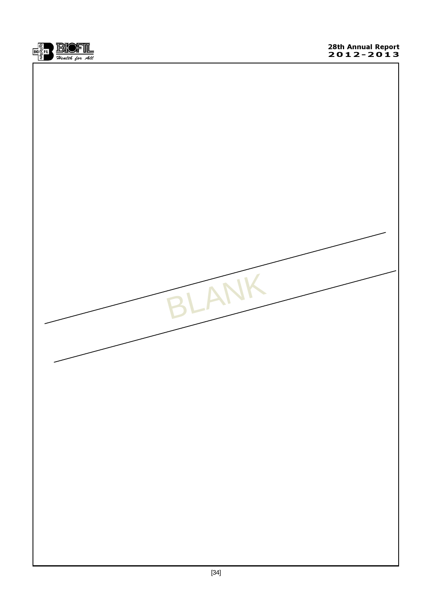

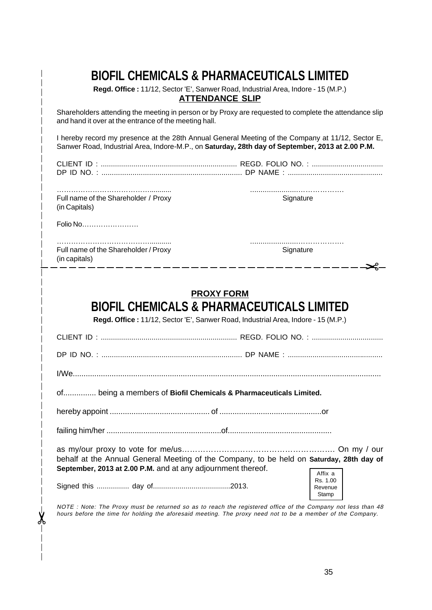|                                                                                                                                                                                                       | <b>BIOFIL CHEMICALS &amp; PHARMACEUTICALS LIMITED</b><br>Regd. Office: 11/12, Sector 'E', Sanwer Road, Industrial Area, Indore - 15 (M.P.)<br><b>ATTENDANCE SLIP</b>                                                      |  |  |  |  |
|-------------------------------------------------------------------------------------------------------------------------------------------------------------------------------------------------------|---------------------------------------------------------------------------------------------------------------------------------------------------------------------------------------------------------------------------|--|--|--|--|
| Shareholders attending the meeting in person or by Proxy are requested to complete the attendance slip<br>and hand it over at the entrance of the meeting hall.                                       |                                                                                                                                                                                                                           |  |  |  |  |
| I hereby record my presence at the 28th Annual General Meeting of the Company at 11/12, Sector E,<br>Sanwer Road, Industrial Area, Indore-M.P., on Saturday, 28th day of September, 2013 at 2.00 P.M. |                                                                                                                                                                                                                           |  |  |  |  |
|                                                                                                                                                                                                       |                                                                                                                                                                                                                           |  |  |  |  |
| Full name of the Shareholder / Proxy<br>(in Capitals)                                                                                                                                                 | Signature                                                                                                                                                                                                                 |  |  |  |  |
| Folio No                                                                                                                                                                                              |                                                                                                                                                                                                                           |  |  |  |  |
| Full name of the Shareholder / Proxy<br>(in capitals)                                                                                                                                                 | Signature                                                                                                                                                                                                                 |  |  |  |  |
|                                                                                                                                                                                                       | Regd. Office: 11/12, Sector 'E', Sanwer Road, Industrial Area, Indore - 15 (M.P.)                                                                                                                                         |  |  |  |  |
|                                                                                                                                                                                                       |                                                                                                                                                                                                                           |  |  |  |  |
|                                                                                                                                                                                                       |                                                                                                                                                                                                                           |  |  |  |  |
| of being a members of Biofil Chemicals & Pharmaceuticals Limited.                                                                                                                                     |                                                                                                                                                                                                                           |  |  |  |  |
|                                                                                                                                                                                                       |                                                                                                                                                                                                                           |  |  |  |  |
|                                                                                                                                                                                                       |                                                                                                                                                                                                                           |  |  |  |  |
| September, 2013 at 2.00 P.M. and at any adjournment thereof.                                                                                                                                          | behalf at the Annual General Meeting of the Company, to be held on Saturday, 28th day of<br>Affix a                                                                                                                       |  |  |  |  |
|                                                                                                                                                                                                       | Rs. 1.00<br>Revenue<br>Stamp                                                                                                                                                                                              |  |  |  |  |
|                                                                                                                                                                                                       | NOTE: Note: The Proxy must be returned so as to reach the registered office of the Company not less than 48<br>hours before the time for holding the aforesaid meeting. The proxy need not to be a member of the Company. |  |  |  |  |